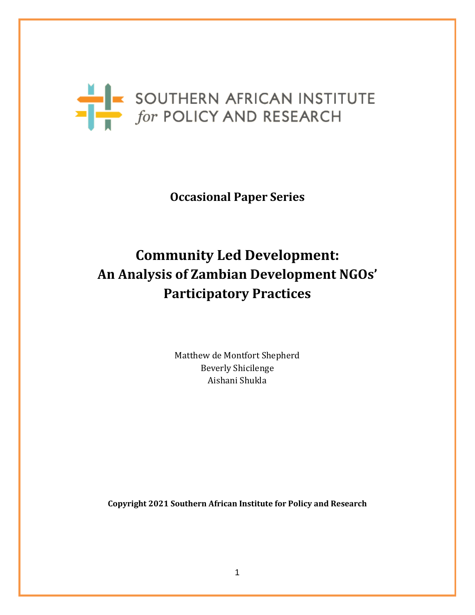# SOUTHERN AFRICAN INSTITUTE

**Occasional Paper Series** 

# **Community Led Development: An Analysis of Zambian Development NGOs' Participatory Practices**

Matthew de Montfort Shepherd Beverly Shicilenge Aishani Shukla

**Copyright 2021 Southern African Institute for Policy and Research**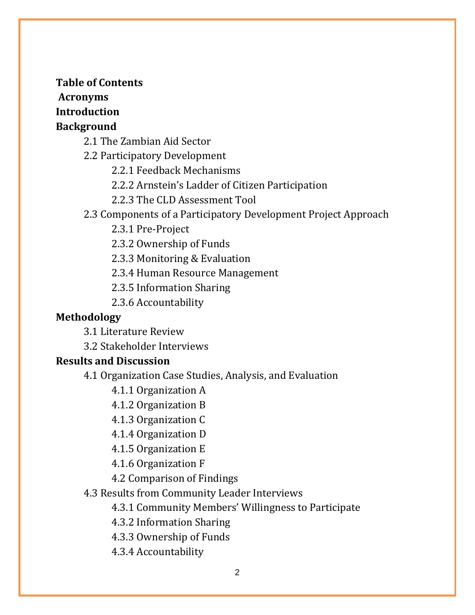# **Table of Contents Acronyms Introduction**

# **Background**

2.1 The Zambian Aid Sector

2.2 Participatory Development

2.2.1 Feedback Mechanisms

2.2.2 Arnstein's Ladder of Citizen Participation

2.2.3 The CLD Assessment Tool

2.3 Components of a Participatory Development Project Approach

2.3.1 Pre-Project

2.3.2 Ownership of Funds

2.3.3 Monitoring & Evaluation

2.3.4 Human Resource Management

2.3.5 Information Sharing

2.3.6 Accountability

# **Methodology**

3.1 Literature Review

3.2 Stakeholder Interviews

# **Results and Discussion**

4.1 Organization Case Studies, Analysis, and Evaluation

4.1.1 Organization A

4.1.2 Organization B

4.1.3 Organization C

4.1.4 Organization D

4.1.5 Organization E

4.1.6 Organization F

4.2 Comparison of Findings

4.3 Results from Community Leader Interviews

4.3.1 Community Members' Willingness to Participate

4.3.2 Information Sharing

4.3.3 Ownership of Funds

4.3.4 Accountability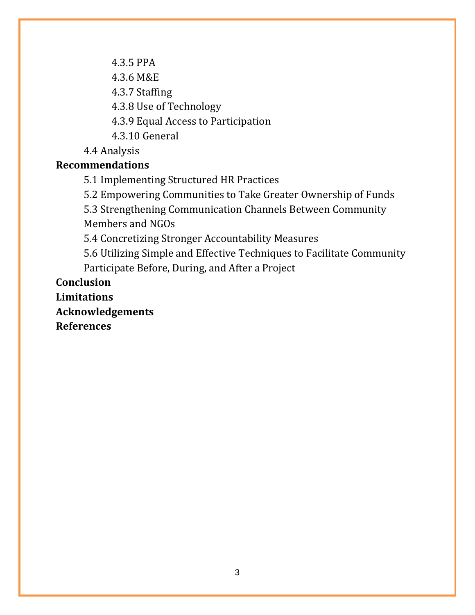4.3.5 PPA

4.3.6 M&E

4.3.7 Staffing

4.3.8 Use of Technology

4.3.9 Equal Access to Participation

4.3.10 General

4.4 Analysis

# **Recommendations**

5.1 Implementing Structured HR Practices

5.2 Empowering Communities to Take Greater Ownership of Funds

5.3 Strengthening Communication Channels Between Community Members and NGOs

5.4 Concretizing Stronger Accountability Measures

5.6 Utilizing Simple and Effective Techniques to Facilitate Community Participate Before, During, and After a Project

**Conclusion**

**Limitations**

**Acknowledgements**

**References**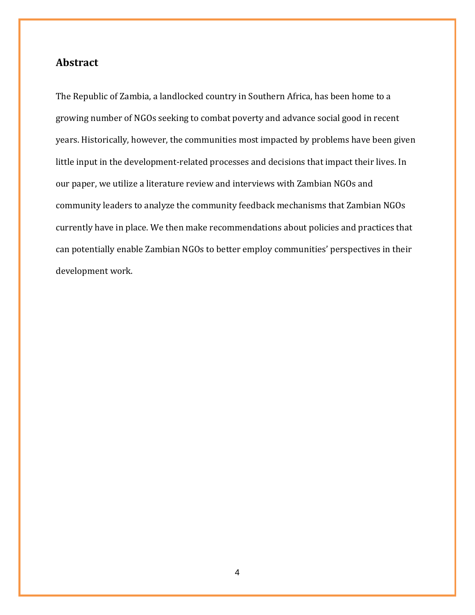# **Abstract**

The Republic of Zambia, a landlocked country in Southern Africa, has been home to a growing number of NGOs seeking to combat poverty and advance social good in recent years. Historically, however, the communities most impacted by problems have been given little input in the development-related processes and decisions that impact their lives. In our paper, we utilize a literature review and interviews with Zambian NGOs and community leaders to analyze the community feedback mechanisms that Zambian NGOs currently have in place. We then make recommendations about policies and practices that can potentially enable Zambian NGOs to better employ communities' perspectives in their development work.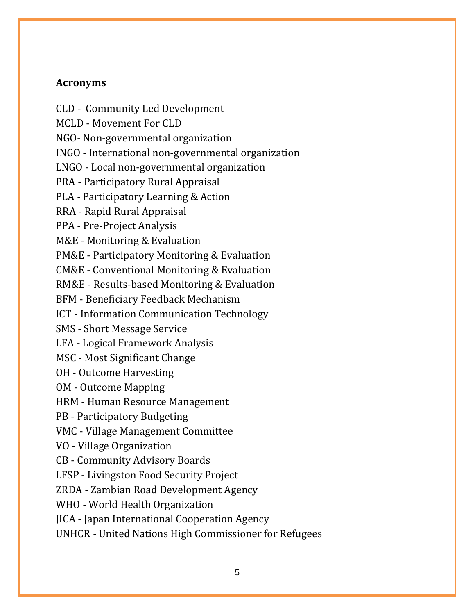# **Acronyms**

CLD - Community Led Development

MCLD - Movement For CLD

NGO- Non-governmental organization

INGO - International non-governmental organization

LNGO - Local non-governmental organization

PRA - Participatory Rural Appraisal

PLA - Participatory Learning & Action

RRA - Rapid Rural Appraisal

PPA - Pre-Project Analysis

M&E - Monitoring & Evaluation

PM&E - Participatory Monitoring & Evaluation

CM&E - Conventional Monitoring & Evaluation

RM&E - Results-based Monitoring & Evaluation

BFM - Beneficiary Feedback Mechanism

ICT - Information Communication Technology

SMS - Short Message Service

LFA - Logical Framework Analysis

MSC - Most Significant Change

OH - Outcome Harvesting

OM - Outcome Mapping

HRM - Human Resource Management

PB - Participatory Budgeting

VMC - Village Management Committee

VO - Village Organization

CB - Community Advisory Boards

LFSP - Livingston Food Security Project

ZRDA - Zambian Road Development Agency

WHO - World Health Organization

JICA - Japan International Cooperation Agency

UNHCR - United Nations High Commissioner for Refugees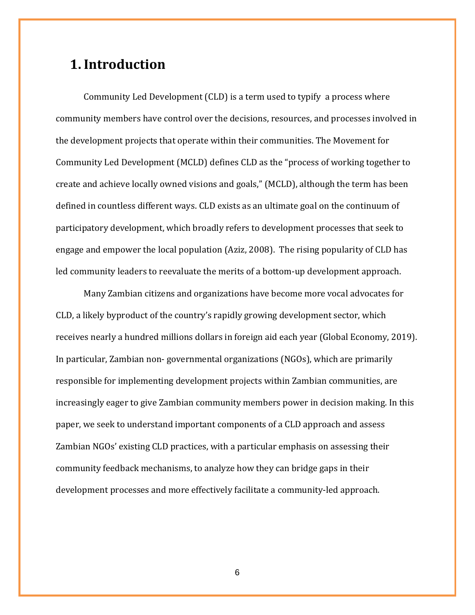# **1.Introduction**

Community Led Development (CLD) is a term used to typify a process where community members have control over the decisions, resources, and processes involved in the development projects that operate within their communities. The Movement for Community Led Development (MCLD) defines CLD as the "process of working together to create and achieve locally owned visions and goals," (MCLD), although the term has been defined in countless different ways. CLD exists as an ultimate goal on the continuum of participatory development, which broadly refers to development processes that seek to engage and empower the local population (Aziz, 2008). The rising popularity of CLD has led community leaders to reevaluate the merits of a bottom-up development approach.

Many Zambian citizens and organizations have become more vocal advocates for CLD, a likely byproduct of the country's rapidly growing development sector, which receives nearly a hundred millions dollars in foreign aid each year (Global Economy, 2019). In particular, Zambian non- governmental organizations (NGOs), which are primarily responsible for implementing development projects within Zambian communities, are increasingly eager to give Zambian community members power in decision making. In this paper, we seek to understand important components of a CLD approach and assess Zambian NGOs' existing CLD practices, with a particular emphasis on assessing their community feedback mechanisms, to analyze how they can bridge gaps in their development processes and more effectively facilitate a community-led approach.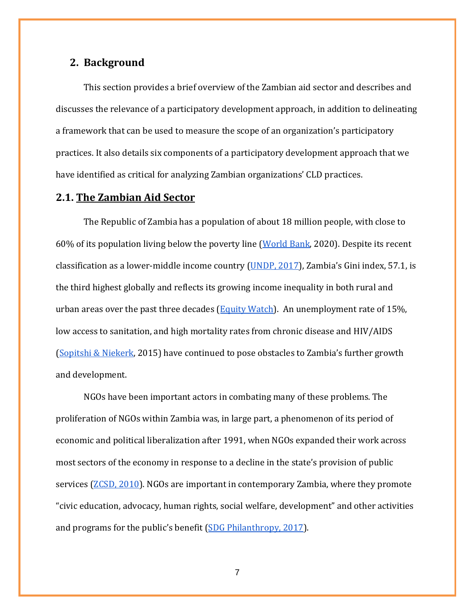## **2. Background**

This section provides a brief overview of the Zambian aid sector and describes and discusses the relevance of a participatory development approach, in addition to delineating a framework that can be used to measure the scope of an organization's participatory practices. It also details six components of a participatory development approach that we have identified as critical for analyzing Zambian organizations' CLD practices.

# **2.1. The Zambian Aid Sector**

The Republic of Zambia has a population of about 18 million people, with close to 60% of its population living below the poverty line [\(World Bank,](https://databank.worldbank.org/data/download/poverty/33EF03BB-9722-4AE2-ABC7-AA2972D68AFE/Global_POVEQ_ZMB.pdf) 2020). Despite its recent classification as a lower-middle income country [\(UNDP, 2017\)](https://www.zm.undp.org/content/zambia/en/home/projects/InclusiveBusiness.html), Zambia's Gini index, 57.1, is the third highest globally and reflects its growing income inequality in both rural and urban areas over the past three decades  $(Equity Watch)$ . An unemployment rate of 15%, low access to sanitation, and high mortality rates from chronic disease and HIV/AIDS [\(Sopitshi & Niekerk,](https://healthmarketinnovations.org/sites/default/files/Final_%20CHMI%20Zambia%20profile.pdf) 2015) have continued to pose obstacles to Zambia's further growth and development.

NGOs have been important actors in combating many of these problems. The proliferation of NGOs within Zambia was, in large part, a phenomenon of its period of economic and political liberalization after 1991, when NGOs expanded their work across most sectors of the economy in response to a decline in the state's provision of public services (**ZCSD, 2010**). NGOs are important in contemporary Zambia, where they promote "civic education, advocacy, human rights, social welfare, development" and other activities and programs for the public's benefit [\(SDG Philanthropy, 2017\)](https://www.sdgphilanthropy.org/NGOs-Zambia).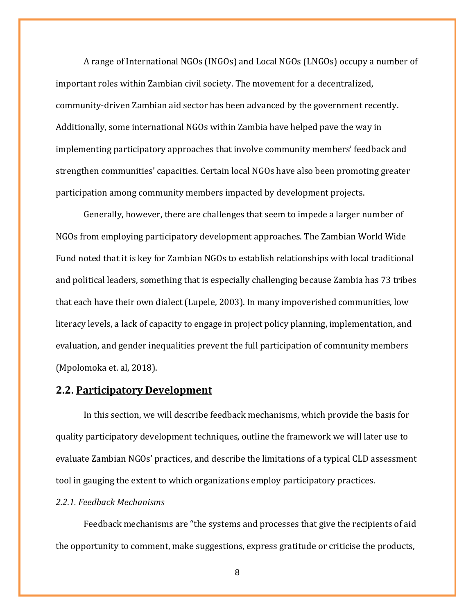A range of International NGOs (INGOs) and Local NGOs (LNGOs) occupy a number of important roles within Zambian civil society. The movement for a decentralized, community-driven Zambian aid sector has been advanced by the government recently. Additionally, some international NGOs within Zambia have helped pave the way in implementing participatory approaches that involve community members' feedback and strengthen communities' capacities. Certain local NGOs have also been promoting greater participation among community members impacted by development projects.

Generally, however, there are challenges that seem to impede a larger number of NGOs from employing participatory development approaches. The Zambian World Wide Fund noted that it is key for Zambian NGOs to establish relationships with local traditional and political leaders, something that is especially challenging because Zambia has 73 tribes that each have their own dialect (Lupele, 2003). In many impoverished communities, low literacy levels, a lack of capacity to engage in project policy planning, implementation, and evaluation, and gender inequalities prevent the full participation of community members (Mpolomoka et. al, 2018).

## **2.2. Participatory Development**

In this section, we will describe feedback mechanisms, which provide the basis for quality participatory development techniques, outline the framework we will later use to evaluate Zambian NGOs' practices, and describe the limitations of a typical CLD assessment tool in gauging the extent to which organizations employ participatory practices.

#### *2.2.1. Feedback Mechanisms*

Feedback mechanisms are "the systems and processes that give the recipients of aid the opportunity to comment, make suggestions, express gratitude or criticise the products,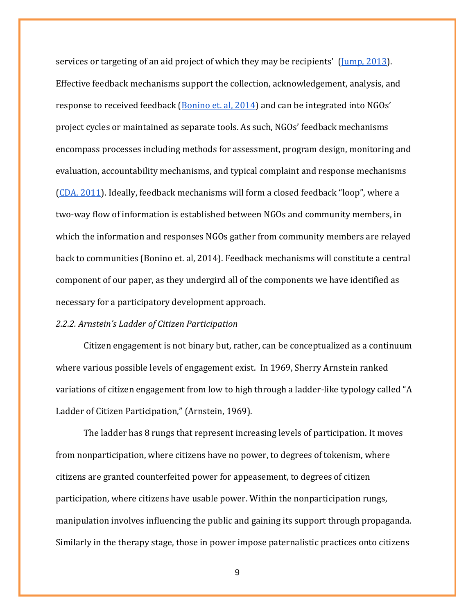services or targeting of an aid project of which they may be recipients' [\(Jump, 2013\)](http://devinit.org/wp-content/uploads/2013/08/Beneficiary-feedback-mechanisms.pdf). Effective feedback mechanisms support the collection, acknowledgement, analysis, and response to received feedback [\(Bonino et. al, 2014\)](https://www.cdacollaborative.org/wp-content/uploads/2016/01/Humanitarian-Feedback-Mechanisms-Research-Evidence-and-Guidance.pdf) and can be integrated into NGOs' project cycles or maintained as separate tools. As such, NGOs' feedback mechanisms encompass processes including methods for assessment, program design, monitoring and evaluation, accountability mechanisms, and typical complaint and response mechanisms [\(CDA, 2011\)](https://reliefweb.int/sites/reliefweb.int/files/resources/full_report_63.pdf). Ideally, feedback mechanisms will form a closed feedback "loop", where a two-way flow of information is established between NGOs and community members, in which the information and responses NGOs gather from community members are relayed back to communities (Bonino et. al, 2014). Feedback mechanisms will constitute a central component of our paper, as they undergird all of the components we have identified as necessary for a participatory development approach.

#### *2.2.2. Arnstein's Ladder of Citizen Participation*

Citizen engagement is not binary but, rather, can be conceptualized as a continuum where various possible levels of engagement exist. In 1969, Sherry Arnstein ranked variations of citizen engagement from low to high through a ladder-like typology called "A Ladder of Citizen Participation," (Arnstein, 1969).

The ladder has 8 rungs that represent increasing levels of participation. It moves from nonparticipation, where citizens have no power, to degrees of tokenism, where citizens are granted counterfeited power for appeasement, to degrees of citizen participation, where citizens have usable power. Within the nonparticipation rungs, manipulation involves influencing the public and gaining its support through propaganda. Similarly in the therapy stage, those in power impose paternalistic practices onto citizens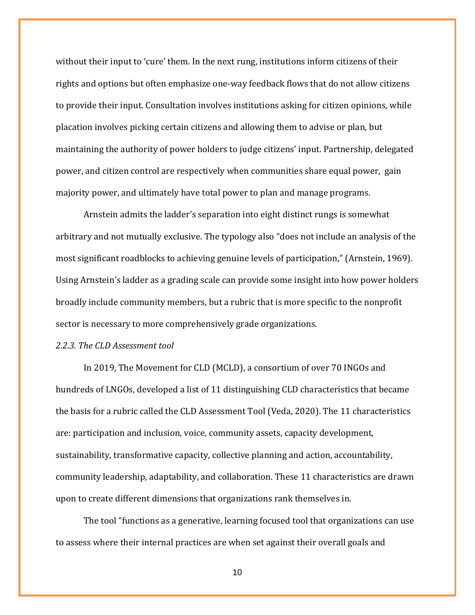without their input to 'cure' them. In the next rung, institutions inform citizens of their rights and options but often emphasize one-way feedback flows that do not allow citizens to provide their input. Consultation involves institutions asking for citizen opinions, while placation involves picking certain citizens and allowing them to advise or plan, but maintaining the authority of power holders to judge citizens' input. Partnership, delegated power, and citizen control are respectively when communities share equal power, gain majority power, and ultimately have total power to plan and manage programs.

Arnstein admits the ladder's separation into eight distinct rungs is somewhat arbitrary and not mutually exclusive. The typology also "does not include an analysis of the most significant roadblocks to achieving genuine levels of participation," (Arnstein, 1969). Using Arnstein's ladder as a grading scale can provide some insight into how power holders broadly include community members, but a rubric that is more specific to the nonprofit sector is necessary to more comprehensively grade organizations.

## *2.2.3. The CLD Assessment tool*

In 2019, The Movement for CLD (MCLD), a consortium of over 70 INGOs and hundreds of LNGOs, developed a list of 11 distinguishing CLD characteristics that became the basis for a rubric called the CLD Assessment Tool (Veda, 2020). The 11 characteristics are: participation and inclusion, voice, community assets, capacity development, sustainability, transformative capacity, collective planning and action, accountability, community leadership, adaptability, and collaboration. These 11 characteristics are drawn upon to create different dimensions that organizations rank themselves in.

The tool "functions as a generative, learning focused tool that organizations can use to assess where their internal practices are when set against their overall goals and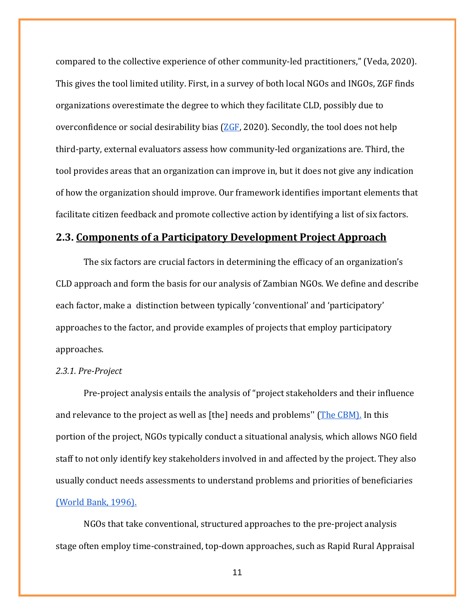compared to the collective experience of other community-led practitioners," (Veda, 2020). This gives the tool limited utility. First, in a survey of both local NGOs and INGOs, ZGF finds organizations overestimate the degree to which they facilitate CLD, possibly due to overconfidence or social desirability bias  $(ZGF, 2020)$  $(ZGF, 2020)$ . Secondly, the tool does not help third-party, external evaluators assess how community-led organizations are. Third, the tool provides areas that an organization can improve in, but it does not give any indication of how the organization should improve. Our framework identifies important elements that facilitate citizen feedback and promote collective action by identifying a list of six factors.

# **2.3. Components of a Participatory Development Project Approach**

The six factors are crucial factors in determining the efficacy of an organization's CLD approach and form the basis for our analysis of Zambian NGOs. We define and describe each factor, make a distinction between typically 'conventional' and 'participatory' approaches to the factor, and provide examples of projects that employ participatory approaches.

#### *2.3.1. Pre-Project*

Pre-project analysis entails the analysis of "project stakeholders and their influence and relevance to the project as well as [the] needs and problems'' [\(The CBM\).](https://clubniset.files.wordpress.com/2012/11/pcmhandbook-new-version_coversheet.pdf) In this portion of the project, NGOs typically conduct a situational analysis, which allows NGO field staff to not only identify key stakeholders involved in and affected by the project. They also usually conduct needs assessments to understand problems and priorities of beneficiaries [\(World Bank, 1996\).](https://documents1.worldbank.org/curated/zh/673361468742834292/pdf/multi0page.pdf) 

NGOs that take conventional, structured approaches to the pre-project analysis stage often employ time-constrained, top-down approaches, such as Rapid Rural Appraisal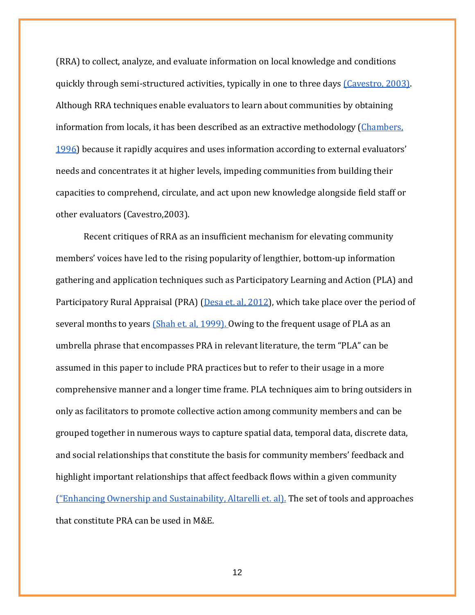(RRA) to collect, analyze, and evaluate information on local knowledge and conditions quickly through semi-structured activities, typically in one to three day[s \(Cavestro, 2003\).](https://liberiafti.files.wordpress.com/2013/08/cavestro_participatory-rural-appraisal-concepts-methodologies-techniques.pdf) Although RRA techniques enable evaluators to learn about communities by obtaining information from locals, it has been described as an extractive methodology [\(Chambers,](https://www.jstor.org/stable/23818769)  [1996\)](https://www.jstor.org/stable/23818769) because it rapidly acquires and uses information according to external evaluators' needs and concentrates it at higher levels, impeding communities from building their capacities to comprehend, circulate, and act upon new knowledge alongside field staff or other evaluators (Cavestro,2003).

Recent critiques of RRA as an insufficient mechanism for elevating community members' voices have led to the rising popularity of lengthier, bottom-up information gathering and application techniques such as Participatory Learning and Action (PLA) and Participatory Rural Appraisal (PRA) [\(Desa et. al, 2012\)](https://core.ac.uk/download/pdf/11494231.pdf), which take place over the period of several months to years [\(Shah et. al, 1999\). O](https://www.participatorymethods.org/sites/participatorymethods.org/files/embracing%20particiatpion%20in%20development_shah.pdf)wing to the frequent usage of PLA as an umbrella phrase that encompasses PRA in relevant literature, the term "PLA" can be assumed in this paper to include PRA practices but to refer to their usage in a more comprehensive manner and a longer time frame. PLA techniques aim to bring outsiders in only as facilitators to promote collective action among community members and can be grouped together in numerous ways to capture spatial data, temporal data, discrete data, and social relationships that constitute the basis for community members' feedback and highlight important relationships that affect feedback flows within a given community [\("Enhancing Ownership and Sustainability, Altarelli et. al\).](http://www.managingforimpact.org/sites/default/files/resource/enhancing_ownership_and_sustainability_part2.pdf) The set of tools and approaches that constitute PRA can be used in M&E.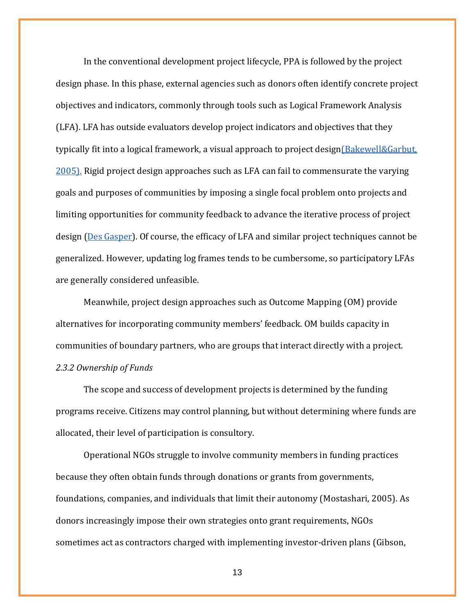In the conventional development project lifecycle, PPA is followed by the project design phase. In this phase, external agencies such as donors often identify concrete project objectives and indicators, commonly through tools such as Logical Framework Analysis (LFA). LFA has outside evaluators develop project indicators and objectives that they typically fit into a logical framework, a visual approach to project design [Bakewell&Garbut, [2005\).](https://www.alnap.org/system/files/content/resource/files/main/the-use-and-abuse-of-the-logical-framework-approach.pdf) Rigid project design approaches such as LFA can fail to commensurate the varying goals and purposes of communities by imposing a single focal problem onto projects and limiting opportunities for community feedback to advance the iterative process of project design [\(Des Gasper\)](http://pdf2.hegoa.efaber.net/entry/content/904/LF_problems_and_potentials_Des_Gasper.pdf). Of course, the efficacy of LFA and similar project techniques cannot be generalized. However, updating log frames tends to be cumbersome, so participatory LFAs are generally considered unfeasible.

Meanwhile, project design approaches such as Outcome Mapping (OM) provide alternatives for incorporating community members' feedback. OM builds capacity in communities of boundary partners, who are groups that interact directly with a project. *2.3.2 Ownership of Funds*

The scope and success of development projects is determined by the funding programs receive. Citizens may control planning, but without determining where funds are allocated, their level of participation is consultory.

Operational NGOs struggle to involve community members in funding practices because they often obtain funds through donations or grants from governments, foundations, companies, and individuals that limit their autonomy (Mostashari, 2005). As donors increasingly impose their own strategies onto grant requirements, NGOs sometimes act as contractors charged with implementing investor-driven plans (Gibson,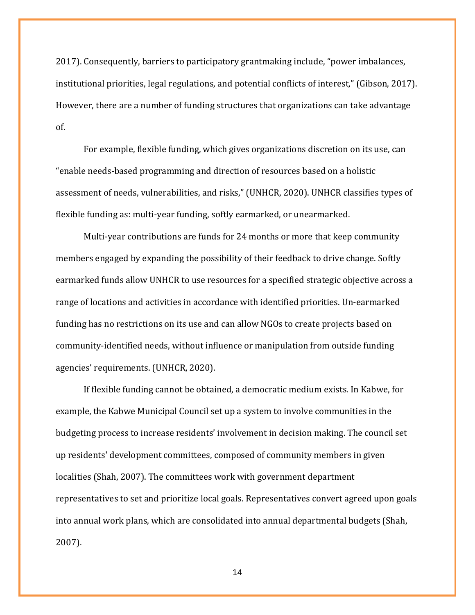2017). Consequently, barriers to participatory grantmaking include, "power imbalances, institutional priorities, legal regulations, and potential conflicts of interest," (Gibson, 2017). However, there are a number of funding structures that organizations can take advantage of.

For example, flexible funding, which gives organizations discretion on its use, can "enable needs-based programming and direction of resources based on a holistic assessment of needs, vulnerabilities, and risks," (UNHCR, 2020). UNHCR classifies types of flexible funding as: multi-year funding, softly earmarked, or unearmarked.

Multi-year contributions are funds for 24 months or more that keep community members engaged by expanding the possibility of their feedback to drive change. Softly earmarked funds allow UNHCR to use resources for a specified strategic objective across a range of locations and activities in accordance with identified priorities. Un-earmarked funding has no restrictions on its use and can allow NGOs to create projects based on community-identified needs, without influence or manipulation from outside funding agencies' requirements. (UNHCR, 2020).

If flexible funding cannot be obtained, a democratic medium exists. In Kabwe, for example, the Kabwe Municipal Council set up a system to involve communities in the budgeting process to increase residents' involvement in decision making. The council set up residents' development committees, composed of community members in given localities (Shah, 2007). The committees work with government department representatives to set and prioritize local goals. Representatives convert agreed upon goals into annual work plans, which are consolidated into annual departmental budgets (Shah, 2007).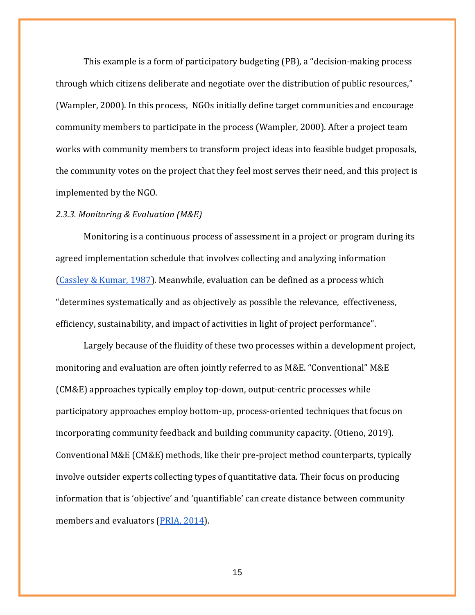This example is a form of participatory budgeting (PB), a "decision-making process through which citizens deliberate and negotiate over the distribution of public resources," (Wampler, 2000). In this process, NGOs initially define target communities and encourage community members to participate in the process (Wampler, 2000). After a project team works with community members to transform project ideas into feasible budget proposals, the community votes on the project that they feel most serves their need, and this project is implemented by the NGO.

# *2.3.3. Monitoring & Evaluation (M&E)*

Monitoring is a continuous process of assessment in a project or program during its agreed implementation schedule that involves collecting and analyzing information [\(Cassley & Kumar, 1987\)](https://www.scirp.org/(S(lz5mqp453edsnp55rrgjct55))/reference/ReferencesPapers.aspx?ReferenceID=1889029). Meanwhile, evaluation can be defined as a process which "determines systematically and as objectively as possible the relevance, effectiveness, efficiency, sustainability, and impact of activities in light of project performance".

Largely because of the fluidity of these two processes within a development project, monitoring and evaluation are often jointly referred to as M&E. "Conventional" M&E (CM&E) approaches typically employ top-down, output-centric processes while participatory approaches employ bottom-up, process-oriented techniques that focus on incorporating community feedback and building community capacity. (Otieno, 2019). Conventional M&E (CM&E) methods, like their pre-project method counterparts, typically involve outsider experts collecting types of quantitative data. Their focus on producing information that is 'objective' and 'quantifiable' can create distance between community members and evaluators [\(PRIA, 2014\)](https://pria-academy.org/pdf/ngom/NGOM6.pdf).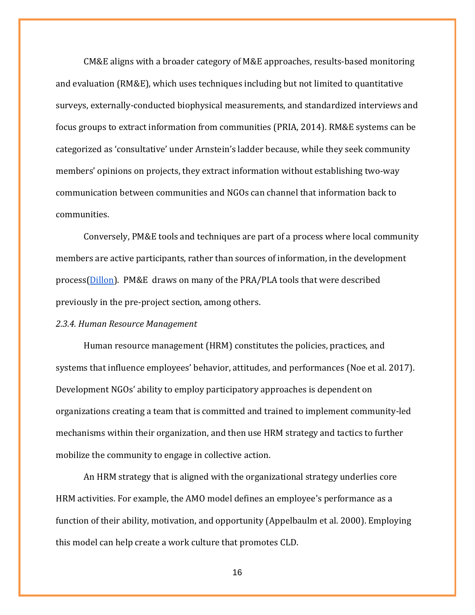CM&E aligns with a broader category of M&E approaches, results-based monitoring and evaluation (RM&E), which uses techniques including but not limited to quantitative surveys, externally-conducted biophysical measurements, and standardized interviews and focus groups to extract information from communities (PRIA, 2014). RM&E systems can be categorized as 'consultative' under Arnstein's ladder because, while they seek community members' opinions on projects, they extract information without establishing two-way communication between communities and NGOs can channel that information back to communities.

Conversely, PM&E tools and techniques are part of a process where local community members are active participants, rather than sources of information, in the development process[\(Dillon\)](https://sswm.info/arctic-wash/module-3-health-risk-assessment/further-resources-participatory-approaches-and-health/participatory-monitoring-and-evaluation). PM&E draws on many of the PRA/PLA tools that were described previously in the pre-project section, among others.

#### *2.3.4. Human Resource Management*

Human resource management (HRM) constitutes the policies, practices, and systems that influence employees' behavior, attitudes, and performances (Noe et al. 2017). Development NGOs' ability to employ participatory approaches is dependent on organizations creating a team that is committed and trained to implement community-led mechanisms within their organization, and then use HRM strategy and tactics to further mobilize the community to engage in collective action.

An HRM strategy that is aligned with the organizational strategy underlies core HRM activities. For example, the AMO model defines an employee's performance as a function of their ability, motivation, and opportunity (Appelbaulm et al. 2000). Employing this model can help create a work culture that promotes CLD.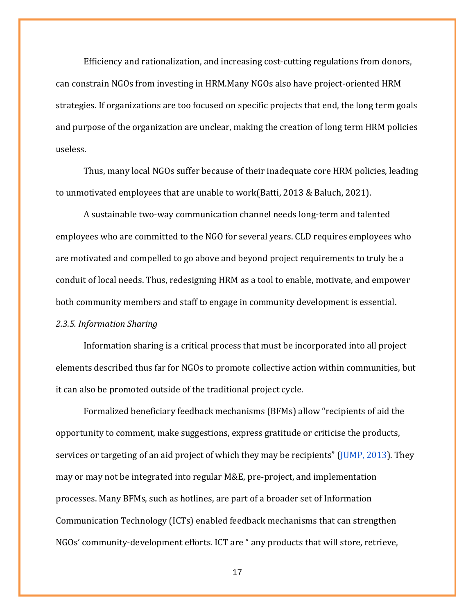Efficiency and rationalization, and increasing cost-cutting regulations from donors, can constrain NGOs from investing in HRM.Many NGOs also have project-oriented HRM strategies. If organizations are too focused on specific projects that end, the long term goals and purpose of the organization are unclear, making the creation of long term HRM policies useless.

Thus, many local NGOs suffer because of their inadequate core HRM policies, leading to unmotivated employees that are unable to work(Batti, 2013 & Baluch, 2021).

A sustainable two-way communication channel needs long-term and talented employees who are committed to the NGO for several years. CLD requires employees who are motivated and compelled to go above and beyond project requirements to truly be a conduit of local needs. Thus, redesigning HRM as a tool to enable, motivate, and empower both community members and staff to engage in community development is essential. *2.3.5. Information Sharing*

Information sharing is a critical process that must be incorporated into all project elements described thus far for NGOs to promote collective action within communities, but it can also be promoted outside of the traditional project cycle.

Formalized beneficiary feedback mechanisms (BFMs) allow "recipients of aid the opportunity to comment, make suggestions, express gratitude or criticise the products, services or targeting of an aid project of which they may be recipients" [\(JUMP, 2013\)](http://devinit.org/wp-content/uploads/2013/08/Beneficiary-feedback-mechanisms.pdf). They may or may not be integrated into regular M&E, pre-project, and implementation processes. Many BFMs, such as hotlines, are part of a broader set of Information Communication Technology (ICTs) enabled feedback mechanisms that can strengthen NGOs' community-development efforts. ICT are " any products that will store, retrieve,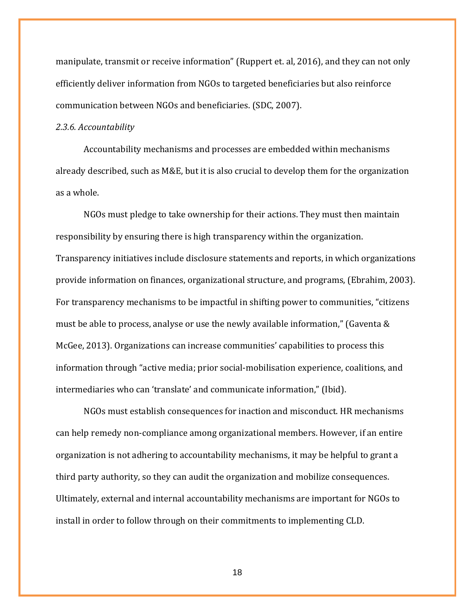manipulate, transmit or receive information" (Ruppert et. al, 2016), and they can not only efficiently deliver information from NGOs to targeted beneficiaries but also reinforce communication between NGOs and beneficiaries. (SDC, 2007).

## *2.3.6. Accountability*

Accountability mechanisms and processes are embedded within mechanisms already described, such as M&E, but it is also crucial to develop them for the organization as a whole.

NGOs must pledge to take ownership for their actions. They must then maintain responsibility by ensuring there is high transparency within the organization. Transparency initiatives include disclosure statements and reports, in which organizations provide information on finances, organizational structure, and programs, (Ebrahim, 2003). For transparency mechanisms to be impactful in shifting power to communities, "citizens must be able to process, analyse or use the newly available information," (Gaventa & McGee, 2013). Organizations can increase communities' capabilities to process this information through "active media; prior social-mobilisation experience, coalitions, and intermediaries who can 'translate' and communicate information," (Ibid).

NGOs must establish consequences for inaction and misconduct. HR mechanisms can help remedy non-compliance among organizational members. However, if an entire organization is not adhering to accountability mechanisms, it may be helpful to grant a third party authority, so they can audit the organization and mobilize consequences. Ultimately, external and internal accountability mechanisms are important for NGOs to install in order to follow through on their commitments to implementing CLD.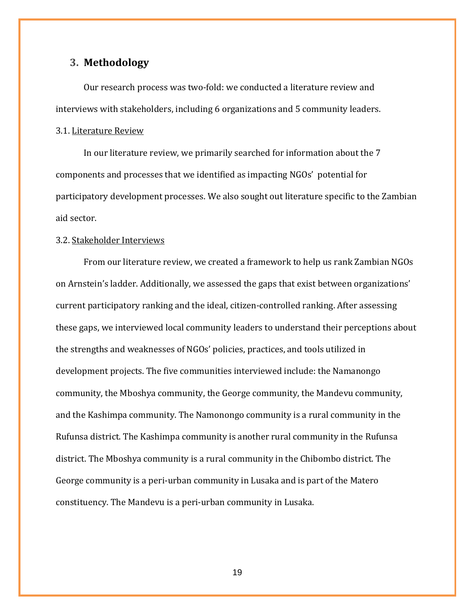# **3. Methodology**

Our research process was two-fold: we conducted a literature review and interviews with stakeholders, including 6 organizations and 5 community leaders.

#### 3.1. Literature Review

In our literature review, we primarily searched for information about the 7 components and processes that we identified as impacting NGOs' potential for participatory development processes. We also sought out literature specific to the Zambian aid sector.

## 3.2. Stakeholder Interviews

From our literature review, we created a framework to help us rank Zambian NGOs on Arnstein's ladder. Additionally, we assessed the gaps that exist between organizations' current participatory ranking and the ideal, citizen-controlled ranking. After assessing these gaps, we interviewed local community leaders to understand their perceptions about the strengths and weaknesses of NGOs' policies, practices, and tools utilized in development projects. The five communities interviewed include: the Namanongo community, the Mboshya community, the George community, the Mandevu community, and the Kashimpa community. The Namonongo community is a rural community in the Rufunsa district. The Kashimpa community is another rural community in the Rufunsa district. The Mboshya community is a rural community in the Chibombo district. The George community is a peri-urban community in Lusaka and is part of the Matero constituency. The Mandevu is a peri-urban community in Lusaka.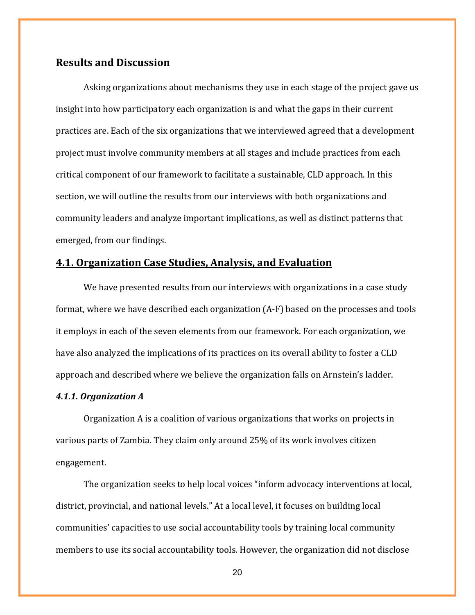# **Results and Discussion**

Asking organizations about mechanisms they use in each stage of the project gave us insight into how participatory each organization is and what the gaps in their current practices are. Each of the six organizations that we interviewed agreed that a development project must involve community members at all stages and include practices from each critical component of our framework to facilitate a sustainable, CLD approach. In this section, we will outline the results from our interviews with both organizations and community leaders and analyze important implications, as well as distinct patterns that emerged, from our findings.

## **4.1. Organization Case Studies, Analysis, and Evaluation**

We have presented results from our interviews with organizations in a case study format, where we have described each organization (A-F) based on the processes and tools it employs in each of the seven elements from our framework. For each organization, we have also analyzed the implications of its practices on its overall ability to foster a CLD approach and described where we believe the organization falls on Arnstein's ladder.

## *4.1.1. Organization A*

Organization A is a coalition of various organizations that works on projects in various parts of Zambia. They claim only around 25% of its work involves citizen engagement.

The organization seeks to help local voices "inform advocacy interventions at local, district, provincial, and national levels." At a local level, it focuses on building local communities' capacities to use social accountability tools by training local community members to use its social accountability tools. However, the organization did not disclose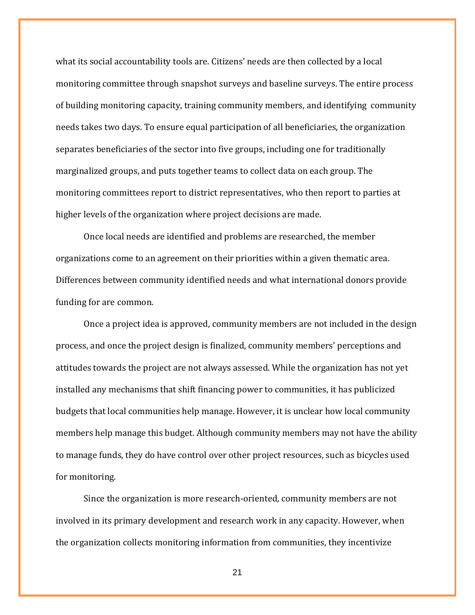what its social accountability tools are. Citizens' needs are then collected by a local monitoring committee through snapshot surveys and baseline surveys. The entire process of building monitoring capacity, training community members, and identifying community needs takes two days. To ensure equal participation of all beneficiaries, the organization separates beneficiaries of the sector into five groups, including one for traditionally marginalized groups, and puts together teams to collect data on each group. The monitoring committees report to district representatives, who then report to parties at higher levels of the organization where project decisions are made.

Once local needs are identified and problems are researched, the member organizations come to an agreement on their priorities within a given thematic area. Differences between community identified needs and what international donors provide funding for are common.

Once a project idea is approved, community members are not included in the design process, and once the project design is finalized, community members' perceptions and attitudes towards the project are not always assessed. While the organization has not yet installed any mechanisms that shift financing power to communities, it has publicized budgets that local communities help manage. However, it is unclear how local community members help manage this budget. Although community members may not have the ability to manage funds, they do have control over other project resources, such as bicycles used for monitoring.

Since the organization is more research-oriented, community members are not involved in its primary development and research work in any capacity. However, when the organization collects monitoring information from communities, they incentivize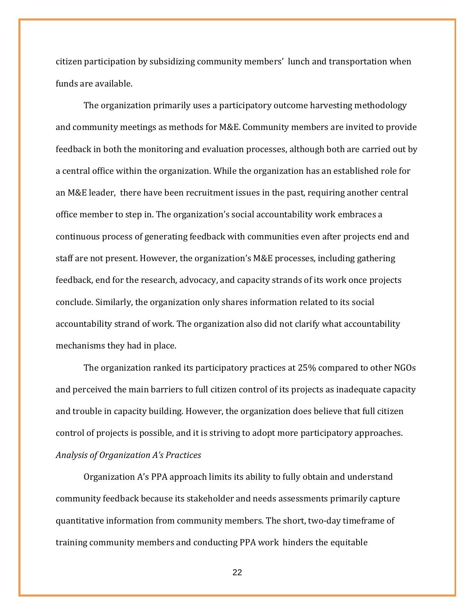citizen participation by subsidizing community members' lunch and transportation when funds are available.

The organization primarily uses a participatory outcome harvesting methodology and community meetings as methods for M&E. Community members are invited to provide feedback in both the monitoring and evaluation processes, although both are carried out by a central office within the organization. While the organization has an established role for an M&E leader, there have been recruitment issues in the past, requiring another central office member to step in. The organization's social accountability work embraces a continuous process of generating feedback with communities even after projects end and staff are not present. However, the organization's M&E processes, including gathering feedback, end for the research, advocacy, and capacity strands of its work once projects conclude. Similarly, the organization only shares information related to its social accountability strand of work. The organization also did not clarify what accountability mechanisms they had in place.

The organization ranked its participatory practices at 25% compared to other NGOs and perceived the main barriers to full citizen control of its projects as inadequate capacity and trouble in capacity building. However, the organization does believe that full citizen control of projects is possible, and it is striving to adopt more participatory approaches. *Analysis of Organization A's Practices*

Organization A's PPA approach limits its ability to fully obtain and understand community feedback because its stakeholder and needs assessments primarily capture quantitative information from community members. The short, two-day timeframe of training community members and conducting PPA work hinders the equitable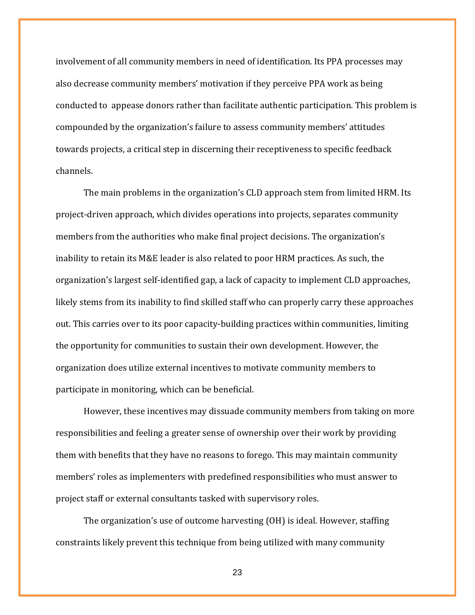involvement of all community members in need of identification. Its PPA processes may also decrease community members' motivation if they perceive PPA work as being conducted to appease donors rather than facilitate authentic participation. This problem is compounded by the organization's failure to assess community members' attitudes towards projects, a critical step in discerning their receptiveness to specific feedback channels.

The main problems in the organization's CLD approach stem from limited HRM. Its project-driven approach, which divides operations into projects, separates community members from the authorities who make final project decisions. The organization's inability to retain its M&E leader is also related to poor HRM practices. As such, the organization's largest self-identified gap, a lack of capacity to implement CLD approaches, likely stems from its inability to find skilled staff who can properly carry these approaches out. This carries over to its poor capacity-building practices within communities, limiting the opportunity for communities to sustain their own development. However, the organization does utilize external incentives to motivate community members to participate in monitoring, which can be beneficial.

However, these incentives may dissuade community members from taking on more responsibilities and feeling a greater sense of ownership over their work by providing them with benefits that they have no reasons to forego. This may maintain community members' roles as implementers with predefined responsibilities who must answer to project staff or external consultants tasked with supervisory roles.

The organization's use of outcome harvesting (OH) is ideal. However, staffing constraints likely prevent this technique from being utilized with many community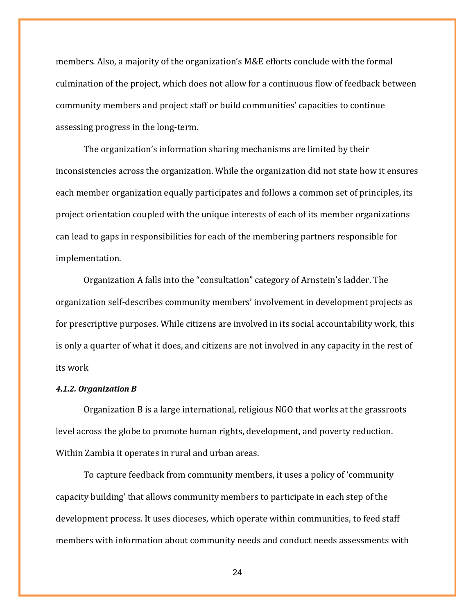members. Also, a majority of the organization's M&E efforts conclude with the formal culmination of the project, which does not allow for a continuous flow of feedback between community members and project staff or build communities' capacities to continue assessing progress in the long-term.

The organization's information sharing mechanisms are limited by their inconsistencies across the organization. While the organization did not state how it ensures each member organization equally participates and follows a common set of principles, its project orientation coupled with the unique interests of each of its member organizations can lead to gaps in responsibilities for each of the membering partners responsible for implementation.

Organization A falls into the "consultation" category of Arnstein's ladder. The organization self-describes community members' involvement in development projects as for prescriptive purposes. While citizens are involved in its social accountability work, this is only a quarter of what it does, and citizens are not involved in any capacity in the rest of its work

## *4.1.2. Organization B*

Organization B is a large international, religious NGO that works at the grassroots level across the globe to promote human rights, development, and poverty reduction. Within Zambia it operates in rural and urban areas.

To capture feedback from community members, it uses a policy of 'community capacity building' that allows community members to participate in each step of the development process. It uses dioceses, which operate within communities, to feed staff members with information about community needs and conduct needs assessments with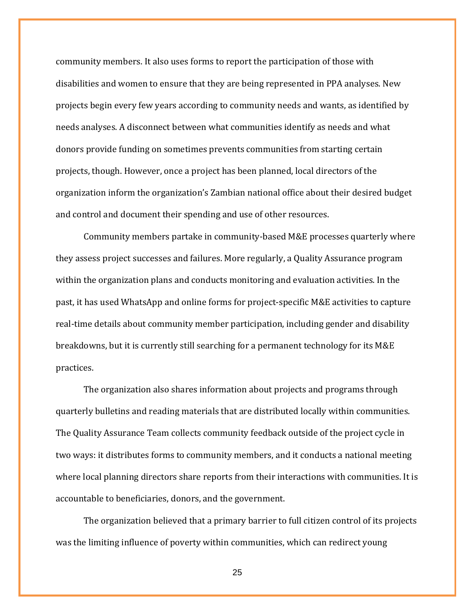community members. It also uses forms to report the participation of those with disabilities and women to ensure that they are being represented in PPA analyses. New projects begin every few years according to community needs and wants, as identified by needs analyses. A disconnect between what communities identify as needs and what donors provide funding on sometimes prevents communities from starting certain projects, though. However, once a project has been planned, local directors of the organization inform the organization's Zambian national office about their desired budget and control and document their spending and use of other resources.

Community members partake in community-based M&E processes quarterly where they assess project successes and failures. More regularly, a Quality Assurance program within the organization plans and conducts monitoring and evaluation activities. In the past, it has used WhatsApp and online forms for project-specific M&E activities to capture real-time details about community member participation, including gender and disability breakdowns, but it is currently still searching for a permanent technology for its M&E practices.

The organization also shares information about projects and programs through quarterly bulletins and reading materials that are distributed locally within communities. The Quality Assurance Team collects community feedback outside of the project cycle in two ways: it distributes forms to community members, and it conducts a national meeting where local planning directors share reports from their interactions with communities. It is accountable to beneficiaries, donors, and the government.

The organization believed that a primary barrier to full citizen control of its projects was the limiting influence of poverty within communities, which can redirect young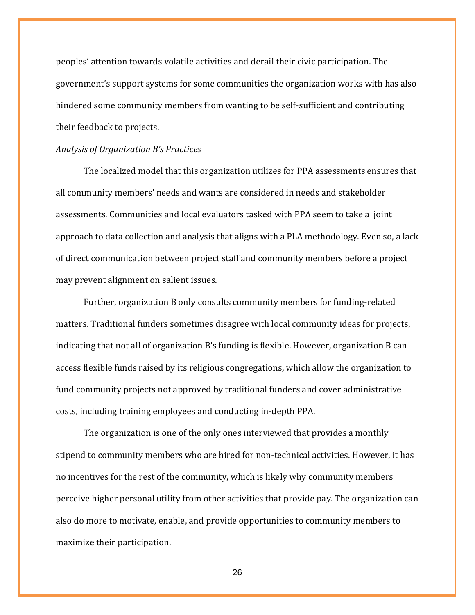peoples' attention towards volatile activities and derail their civic participation. The government's support systems for some communities the organization works with has also hindered some community members from wanting to be self-sufficient and contributing their feedback to projects.

## *Analysis of Organization B's Practices*

The localized model that this organization utilizes for PPA assessments ensures that all community members' needs and wants are considered in needs and stakeholder assessments. Communities and local evaluators tasked with PPA seem to take a joint approach to data collection and analysis that aligns with a PLA methodology. Even so, a lack of direct communication between project staff and community members before a project may prevent alignment on salient issues.

Further, organization B only consults community members for funding-related matters. Traditional funders sometimes disagree with local community ideas for projects, indicating that not all of organization B's funding is flexible. However, organization B can access flexible funds raised by its religious congregations, which allow the organization to fund community projects not approved by traditional funders and cover administrative costs, including training employees and conducting in-depth PPA.

The organization is one of the only ones interviewed that provides a monthly stipend to community members who are hired for non-technical activities. However, it has no incentives for the rest of the community, which is likely why community members perceive higher personal utility from other activities that provide pay. The organization can also do more to motivate, enable, and provide opportunities to community members to maximize their participation.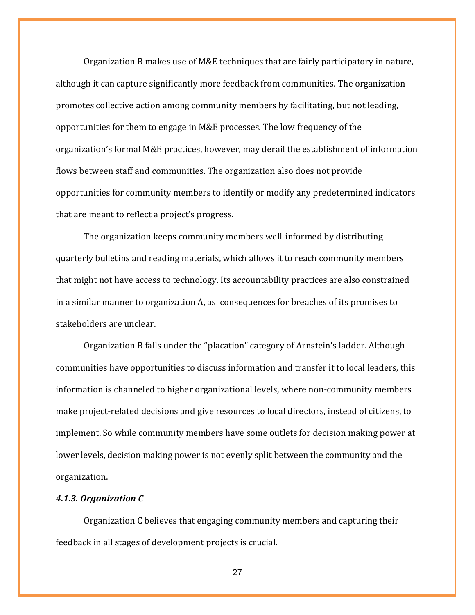Organization B makes use of M&E techniques that are fairly participatory in nature, although it can capture significantly more feedback from communities. The organization promotes collective action among community members by facilitating, but not leading, opportunities for them to engage in M&E processes. The low frequency of the organization's formal M&E practices, however, may derail the establishment of information flows between staff and communities. The organization also does not provide opportunities for community members to identify or modify any predetermined indicators that are meant to reflect a project's progress.

The organization keeps community members well-informed by distributing quarterly bulletins and reading materials, which allows it to reach community members that might not have access to technology. Its accountability practices are also constrained in a similar manner to organization A, as consequences for breaches of its promises to stakeholders are unclear.

Organization B falls under the "placation" category of Arnstein's ladder. Although communities have opportunities to discuss information and transfer it to local leaders, this information is channeled to higher organizational levels, where non-community members make project-related decisions and give resources to local directors, instead of citizens, to implement. So while community members have some outlets for decision making power at lower levels, decision making power is not evenly split between the community and the organization.

#### *4.1.3. Organization C*

Organization C believes that engaging community members and capturing their feedback in all stages of development projects is crucial.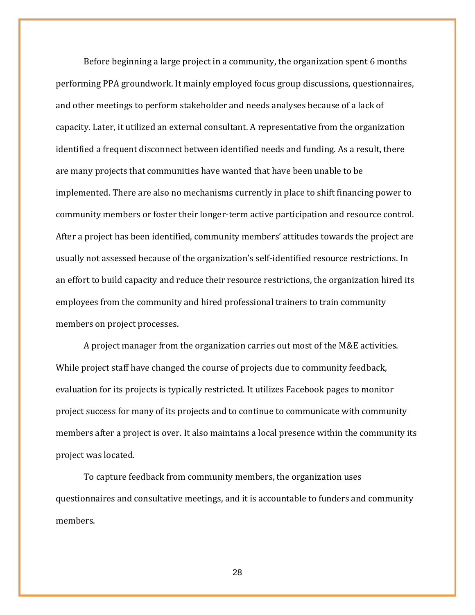Before beginning a large project in a community, the organization spent 6 months performing PPA groundwork. It mainly employed focus group discussions, questionnaires, and other meetings to perform stakeholder and needs analyses because of a lack of capacity. Later, it utilized an external consultant. A representative from the organization identified a frequent disconnect between identified needs and funding. As a result, there are many projects that communities have wanted that have been unable to be implemented. There are also no mechanisms currently in place to shift financing power to community members or foster their longer-term active participation and resource control. After a project has been identified, community members' attitudes towards the project are usually not assessed because of the organization's self-identified resource restrictions. In an effort to build capacity and reduce their resource restrictions, the organization hired its employees from the community and hired professional trainers to train community members on project processes.

A project manager from the organization carries out most of the M&E activities. While project staff have changed the course of projects due to community feedback, evaluation for its projects is typically restricted. It utilizes Facebook pages to monitor project success for many of its projects and to continue to communicate with community members after a project is over. It also maintains a local presence within the community its project was located.

To capture feedback from community members, the organization uses questionnaires and consultative meetings, and it is accountable to funders and community members.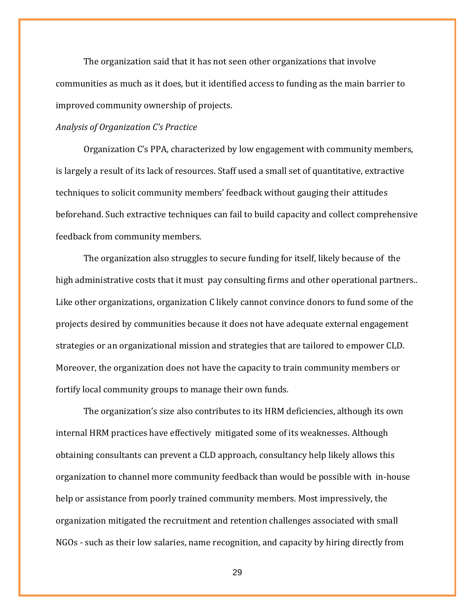The organization said that it has not seen other organizations that involve communities as much as it does, but it identified access to funding as the main barrier to improved community ownership of projects.

# *Analysis of Organization C's Practice*

Organization C's PPA, characterized by low engagement with community members, is largely a result of its lack of resources. Staff used a small set of quantitative, extractive techniques to solicit community members' feedback without gauging their attitudes beforehand. Such extractive techniques can fail to build capacity and collect comprehensive feedback from community members.

The organization also struggles to secure funding for itself, likely because of the high administrative costs that it must pay consulting firms and other operational partners.. Like other organizations, organization C likely cannot convince donors to fund some of the projects desired by communities because it does not have adequate external engagement strategies or an organizational mission and strategies that are tailored to empower CLD. Moreover, the organization does not have the capacity to train community members or fortify local community groups to manage their own funds.

The organization's size also contributes to its HRM deficiencies, although its own internal HRM practices have effectively mitigated some of its weaknesses. Although obtaining consultants can prevent a CLD approach, consultancy help likely allows this organization to channel more community feedback than would be possible with in-house help or assistance from poorly trained community members. Most impressively, the organization mitigated the recruitment and retention challenges associated with small NGOs - such as their low salaries, name recognition, and capacity by hiring directly from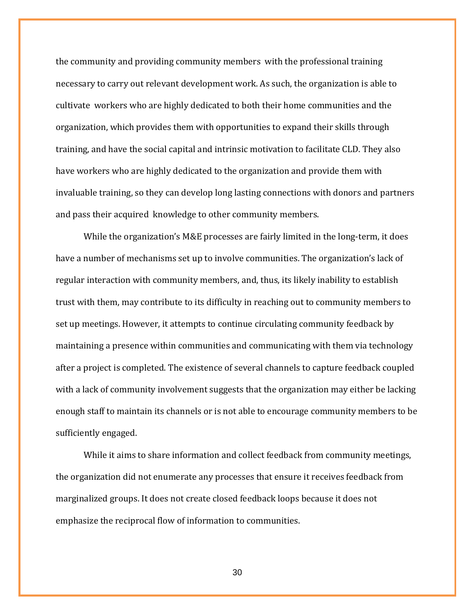the community and providing community members with the professional training necessary to carry out relevant development work. As such, the organization is able to cultivate workers who are highly dedicated to both their home communities and the organization, which provides them with opportunities to expand their skills through training, and have the social capital and intrinsic motivation to facilitate CLD. They also have workers who are highly dedicated to the organization and provide them with invaluable training, so they can develop long lasting connections with donors and partners and pass their acquired knowledge to other community members.

While the organization's M&E processes are fairly limited in the long-term, it does have a number of mechanisms set up to involve communities. The organization's lack of regular interaction with community members, and, thus, its likely inability to establish trust with them, may contribute to its difficulty in reaching out to community members to set up meetings. However, it attempts to continue circulating community feedback by maintaining a presence within communities and communicating with them via technology after a project is completed. The existence of several channels to capture feedback coupled with a lack of community involvement suggests that the organization may either be lacking enough staff to maintain its channels or is not able to encourage community members to be sufficiently engaged.

While it aims to share information and collect feedback from community meetings, the organization did not enumerate any processes that ensure it receives feedback from marginalized groups. It does not create closed feedback loops because it does not emphasize the reciprocal flow of information to communities.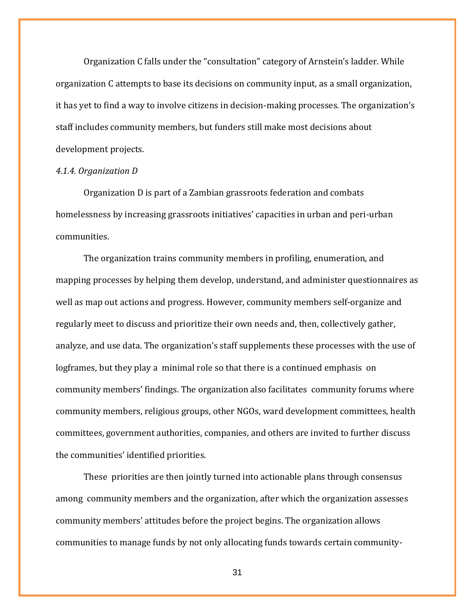Organization C falls under the "consultation" category of Arnstein's ladder. While organization C attempts to base its decisions on community input, as a small organization, it has yet to find a way to involve citizens in decision-making processes. The organization's staff includes community members, but funders still make most decisions about development projects.

## *4.1.4. Organization D*

Organization D is part of a Zambian grassroots federation and combats homelessness by increasing grassroots initiatives' capacities in urban and peri-urban communities.

The organization trains community members in profiling, enumeration, and mapping processes by helping them develop, understand, and administer questionnaires as well as map out actions and progress. However, community members self-organize and regularly meet to discuss and prioritize their own needs and, then, collectively gather, analyze, and use data. The organization's staff supplements these processes with the use of logframes, but they play a minimal role so that there is a continued emphasis on community members' findings. The organization also facilitates community forums where community members, religious groups, other NGOs, ward development committees, health committees, government authorities, companies, and others are invited to further discuss the communities' identified priorities.

These priorities are then jointly turned into actionable plans through consensus among community members and the organization, after which the organization assesses community members' attitudes before the project begins. The organization allows communities to manage funds by not only allocating funds towards certain community-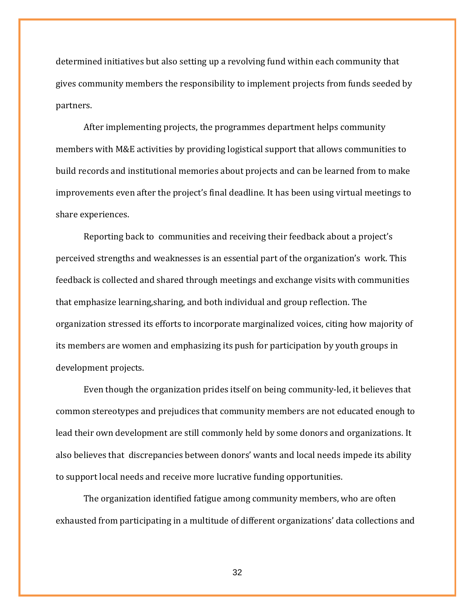determined initiatives but also setting up a revolving fund within each community that gives community members the responsibility to implement projects from funds seeded by partners.

After implementing projects, the programmes department helps community members with M&E activities by providing logistical support that allows communities to build records and institutional memories about projects and can be learned from to make improvements even after the project's final deadline. It has been using virtual meetings to share experiences.

Reporting back to communities and receiving their feedback about a project's perceived strengths and weaknesses is an essential part of the organization's work. This feedback is collected and shared through meetings and exchange visits with communities that emphasize learning,sharing, and both individual and group reflection. The organization stressed its efforts to incorporate marginalized voices, citing how majority of its members are women and emphasizing its push for participation by youth groups in development projects.

Even though the organization prides itself on being community-led, it believes that common stereotypes and prejudices that community members are not educated enough to lead their own development are still commonly held by some donors and organizations. It also believes that discrepancies between donors' wants and local needs impede its ability to support local needs and receive more lucrative funding opportunities.

The organization identified fatigue among community members, who are often exhausted from participating in a multitude of different organizations' data collections and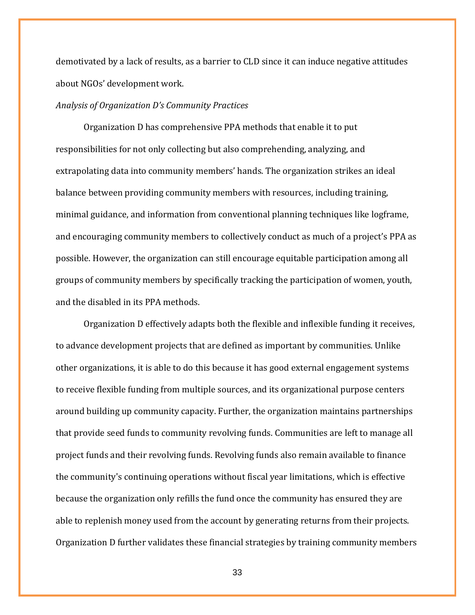demotivated by a lack of results, as a barrier to CLD since it can induce negative attitudes about NGOs' development work.

#### *Analysis of Organization D's Community Practices*

Organization D has comprehensive PPA methods that enable it to put responsibilities for not only collecting but also comprehending, analyzing, and extrapolating data into community members' hands. The organization strikes an ideal balance between providing community members with resources, including training, minimal guidance, and information from conventional planning techniques like logframe, and encouraging community members to collectively conduct as much of a project's PPA as possible. However, the organization can still encourage equitable participation among all groups of community members by specifically tracking the participation of women, youth, and the disabled in its PPA methods.

Organization D effectively adapts both the flexible and inflexible funding it receives, to advance development projects that are defined as important by communities. Unlike other organizations, it is able to do this because it has good external engagement systems to receive flexible funding from multiple sources, and its organizational purpose centers around building up community capacity. Further, the organization maintains partnerships that provide seed funds to community revolving funds. Communities are left to manage all project funds and their revolving funds. Revolving funds also remain available to finance the community's continuing operations without fiscal year limitations, which is effective because the organization only refills the fund once the community has ensured they are able to replenish money used from the account by generating returns from their projects. Organization D further validates these financial strategies by training community members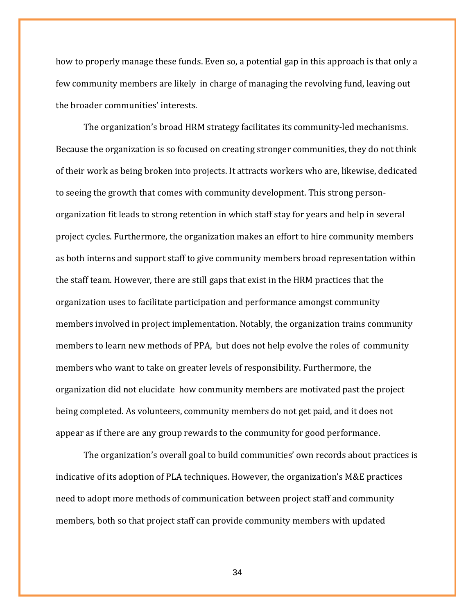how to properly manage these funds. Even so, a potential gap in this approach is that only a few community members are likely in charge of managing the revolving fund, leaving out the broader communities' interests.

The organization's broad HRM strategy facilitates its community-led mechanisms. Because the organization is so focused on creating stronger communities, they do not think of their work as being broken into projects. It attracts workers who are, likewise, dedicated to seeing the growth that comes with community development. This strong personorganization fit leads to strong retention in which staff stay for years and help in several project cycles. Furthermore, the organization makes an effort to hire community members as both interns and support staff to give community members broad representation within the staff team. However, there are still gaps that exist in the HRM practices that the organization uses to facilitate participation and performance amongst community members involved in project implementation. Notably, the organization trains community members to learn new methods of PPA, but does not help evolve the roles of community members who want to take on greater levels of responsibility. Furthermore, the organization did not elucidate how community members are motivated past the project being completed. As volunteers, community members do not get paid, and it does not appear as if there are any group rewards to the community for good performance.

The organization's overall goal to build communities' own records about practices is indicative of its adoption of PLA techniques. However, the organization's M&E practices need to adopt more methods of communication between project staff and community members, both so that project staff can provide community members with updated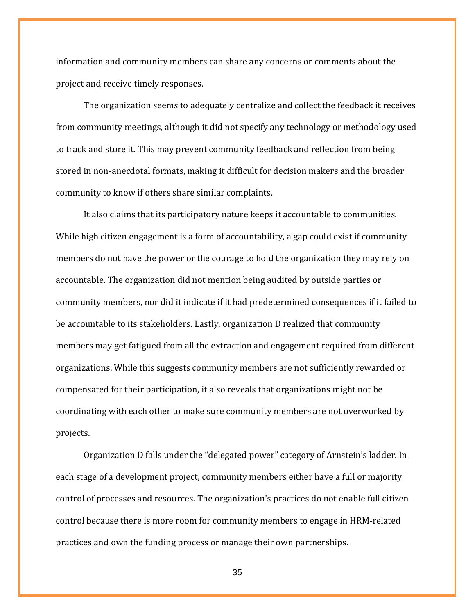information and community members can share any concerns or comments about the project and receive timely responses.

The organization seems to adequately centralize and collect the feedback it receives from community meetings, although it did not specify any technology or methodology used to track and store it. This may prevent community feedback and reflection from being stored in non-anecdotal formats, making it difficult for decision makers and the broader community to know if others share similar complaints.

It also claims that its participatory nature keeps it accountable to communities. While high citizen engagement is a form of accountability, a gap could exist if community members do not have the power or the courage to hold the organization they may rely on accountable. The organization did not mention being audited by outside parties or community members, nor did it indicate if it had predetermined consequences if it failed to be accountable to its stakeholders. Lastly, organization D realized that community members may get fatigued from all the extraction and engagement required from different organizations. While this suggests community members are not sufficiently rewarded or compensated for their participation, it also reveals that organizations might not be coordinating with each other to make sure community members are not overworked by projects.

Organization D falls under the "delegated power" category of Arnstein's ladder. In each stage of a development project, community members either have a full or majority control of processes and resources. The organization's practices do not enable full citizen control because there is more room for community members to engage in HRM-related practices and own the funding process or manage their own partnerships.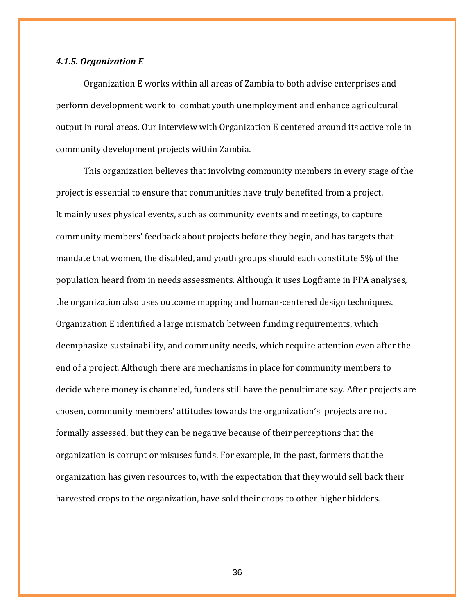## *4.1.5. Organization E*

Organization E works within all areas of Zambia to both advise enterprises and perform development work to combat youth unemployment and enhance agricultural output in rural areas. Our interview with Organization E centered around its active role in community development projects within Zambia.

This organization believes that involving community members in every stage of the project is essential to ensure that communities have truly benefited from a project. It mainly uses physical events, such as community events and meetings, to capture community members' feedback about projects before they begin, and has targets that mandate that women, the disabled, and youth groups should each constitute 5% of the population heard from in needs assessments. Although it uses Logframe in PPA analyses, the organization also uses outcome mapping and human-centered design techniques. Organization E identified a large mismatch between funding requirements, which deemphasize sustainability, and community needs, which require attention even after the end of a project. Although there are mechanisms in place for community members to decide where money is channeled, funders still have the penultimate say. After projects are chosen, community members' attitudes towards the organization's projects are not formally assessed, but they can be negative because of their perceptions that the organization is corrupt or misuses funds. For example, in the past, farmers that the organization has given resources to, with the expectation that they would sell back their harvested crops to the organization, have sold their crops to other higher bidders.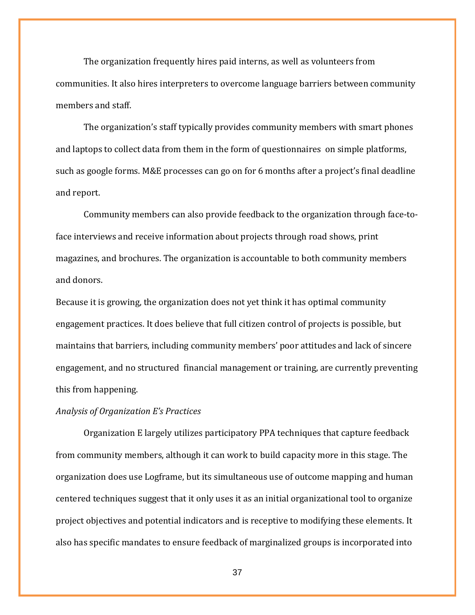The organization frequently hires paid interns, as well as volunteers from communities. It also hires interpreters to overcome language barriers between community members and staff.

The organization's staff typically provides community members with smart phones and laptops to collect data from them in the form of questionnaires on simple platforms, such as google forms. M&E processes can go on for 6 months after a project's final deadline and report.

Community members can also provide feedback to the organization through face-toface interviews and receive information about projects through road shows, print magazines, and brochures. The organization is accountable to both community members and donors.

Because it is growing, the organization does not yet think it has optimal community engagement practices. It does believe that full citizen control of projects is possible, but maintains that barriers, including community members' poor attitudes and lack of sincere engagement, and no structured financial management or training, are currently preventing this from happening.

### *Analysis of Organization E's Practices*

Organization E largely utilizes participatory PPA techniques that capture feedback from community members, although it can work to build capacity more in this stage. The organization does use Logframe, but its simultaneous use of outcome mapping and human centered techniques suggest that it only uses it as an initial organizational tool to organize project objectives and potential indicators and is receptive to modifying these elements. It also has specific mandates to ensure feedback of marginalized groups is incorporated into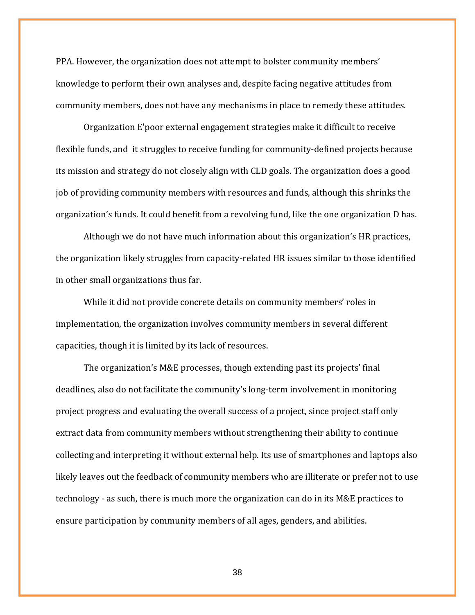PPA. However, the organization does not attempt to bolster community members' knowledge to perform their own analyses and, despite facing negative attitudes from community members, does not have any mechanisms in place to remedy these attitudes.

Organization E'poor external engagement strategies make it difficult to receive flexible funds, and it struggles to receive funding for community-defined projects because its mission and strategy do not closely align with CLD goals. The organization does a good job of providing community members with resources and funds, although this shrinks the organization's funds. It could benefit from a revolving fund, like the one organization D has.

Although we do not have much information about this organization's HR practices, the organization likely struggles from capacity-related HR issues similar to those identified in other small organizations thus far.

While it did not provide concrete details on community members' roles in implementation, the organization involves community members in several different capacities, though it is limited by its lack of resources.

The organization's M&E processes, though extending past its projects' final deadlines, also do not facilitate the community's long-term involvement in monitoring project progress and evaluating the overall success of a project, since project staff only extract data from community members without strengthening their ability to continue collecting and interpreting it without external help. Its use of smartphones and laptops also likely leaves out the feedback of community members who are illiterate or prefer not to use technology - as such, there is much more the organization can do in its M&E practices to ensure participation by community members of all ages, genders, and abilities.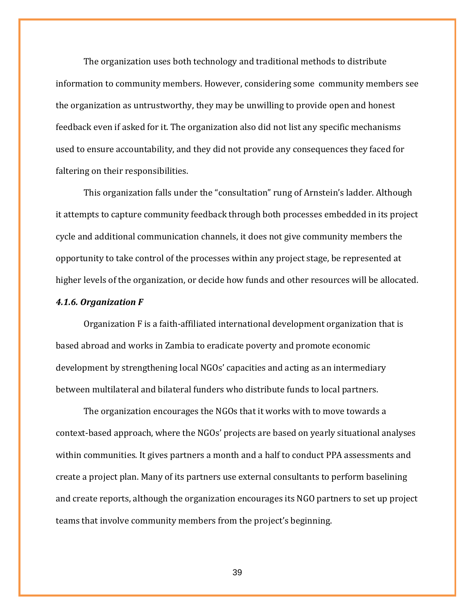The organization uses both technology and traditional methods to distribute information to community members. However, considering some community members see the organization as untrustworthy, they may be unwilling to provide open and honest feedback even if asked for it. The organization also did not list any specific mechanisms used to ensure accountability, and they did not provide any consequences they faced for faltering on their responsibilities.

This organization falls under the "consultation" rung of Arnstein's ladder. Although it attempts to capture community feedback through both processes embedded in its project cycle and additional communication channels, it does not give community members the opportunity to take control of the processes within any project stage, be represented at higher levels of the organization, or decide how funds and other resources will be allocated.

#### *4.1.6. Organization F*

Organization F is a faith-affiliated international development organization that is based abroad and works in Zambia to eradicate poverty and promote economic development by strengthening local NGOs' capacities and acting as an intermediary between multilateral and bilateral funders who distribute funds to local partners.

The organization encourages the NGOs that it works with to move towards a context-based approach, where the NGOs' projects are based on yearly situational analyses within communities. It gives partners a month and a half to conduct PPA assessments and create a project plan. Many of its partners use external consultants to perform baselining and create reports, although the organization encourages its NGO partners to set up project teams that involve community members from the project's beginning.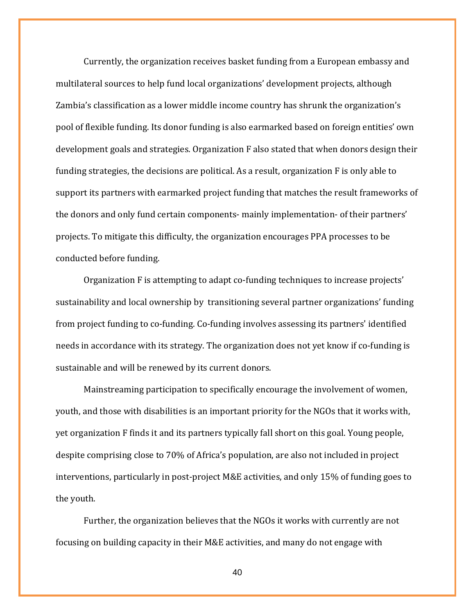Currently, the organization receives basket funding from a European embassy and multilateral sources to help fund local organizations' development projects, although Zambia's classification as a lower middle income country has shrunk the organization's pool of flexible funding. Its donor funding is also earmarked based on foreign entities' own development goals and strategies. Organization F also stated that when donors design their funding strategies, the decisions are political. As a result, organization F is only able to support its partners with earmarked project funding that matches the result frameworks of the donors and only fund certain components- mainly implementation- of their partners' projects. To mitigate this difficulty, the organization encourages PPA processes to be conducted before funding.

Organization F is attempting to adapt co-funding techniques to increase projects' sustainability and local ownership by transitioning several partner organizations' funding from project funding to co-funding. Co-funding involves assessing its partners' identified needs in accordance with its strategy. The organization does not yet know if co-funding is sustainable and will be renewed by its current donors.

Mainstreaming participation to specifically encourage the involvement of women, youth, and those with disabilities is an important priority for the NGOs that it works with, yet organization F finds it and its partners typically fall short on this goal. Young people, despite comprising close to 70% of Africa's population, are also not included in project interventions, particularly in post-project M&E activities, and only 15% of funding goes to the youth.

Further, the organization believes that the NGOs it works with currently are not focusing on building capacity in their M&E activities, and many do not engage with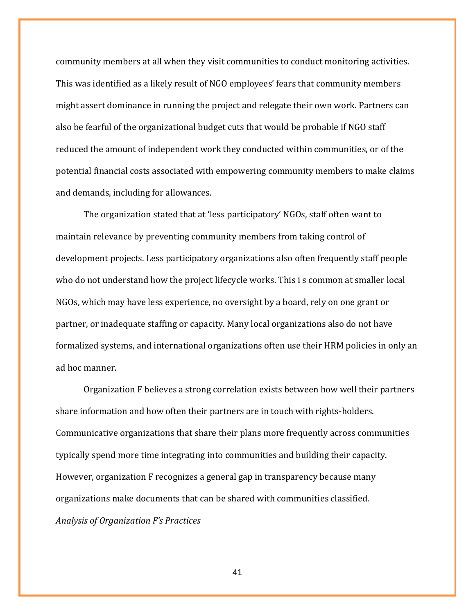community members at all when they visit communities to conduct monitoring activities. This was identified as a likely result of NGO employees' fears that community members might assert dominance in running the project and relegate their own work. Partners can also be fearful of the organizational budget cuts that would be probable if NGO staff reduced the amount of independent work they conducted within communities, or of the potential financial costs associated with empowering community members to make claims and demands, including for allowances.

The organization stated that at 'less participatory' NGOs, staff often want to maintain relevance by preventing community members from taking control of development projects. Less participatory organizations also often frequently staff people who do not understand how the project lifecycle works. This i s common at smaller local NGOs, which may have less experience, no oversight by a board, rely on one grant or partner, or inadequate staffing or capacity. Many local organizations also do not have formalized systems, and international organizations often use their HRM policies in only an ad hoc manner.

Organization F believes a strong correlation exists between how well their partners share information and how often their partners are in touch with rights-holders. Communicative organizations that share their plans more frequently across communities typically spend more time integrating into communities and building their capacity. However, organization F recognizes a general gap in transparency because many organizations make documents that can be shared with communities classified. *Analysis of Organization F's Practices*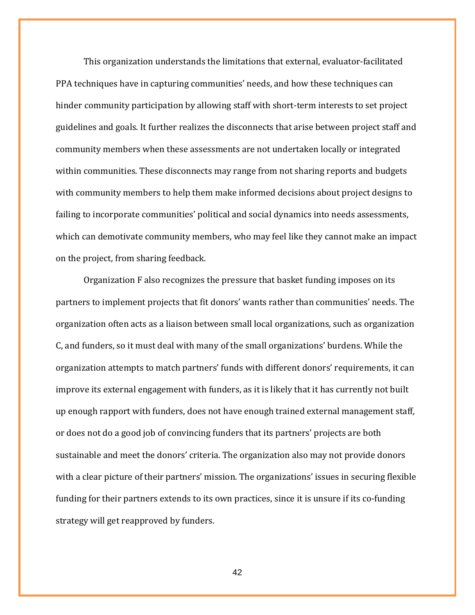This organization understands the limitations that external, evaluator-facilitated PPA techniques have in capturing communities' needs, and how these techniques can hinder community participation by allowing staff with short-term interests to set project guidelines and goals. It further realizes the disconnects that arise between project staff and community members when these assessments are not undertaken locally or integrated within communities. These disconnects may range from not sharing reports and budgets with community members to help them make informed decisions about project designs to failing to incorporate communities' political and social dynamics into needs assessments, which can demotivate community members, who may feel like they cannot make an impact on the project, from sharing feedback.

Organization F also recognizes the pressure that basket funding imposes on its partners to implement projects that fit donors' wants rather than communities' needs. The organization often acts as a liaison between small local organizations, such as organization C, and funders, so it must deal with many of the small organizations' burdens. While the organization attempts to match partners' funds with different donors' requirements, it can improve its external engagement with funders, as it is likely that it has currently not built up enough rapport with funders, does not have enough trained external management staff, or does not do a good job of convincing funders that its partners' projects are both sustainable and meet the donors' criteria. The organization also may not provide donors with a clear picture of their partners' mission. The organizations' issues in securing flexible funding for their partners extends to its own practices, since it is unsure if its co-funding strategy will get reapproved by funders.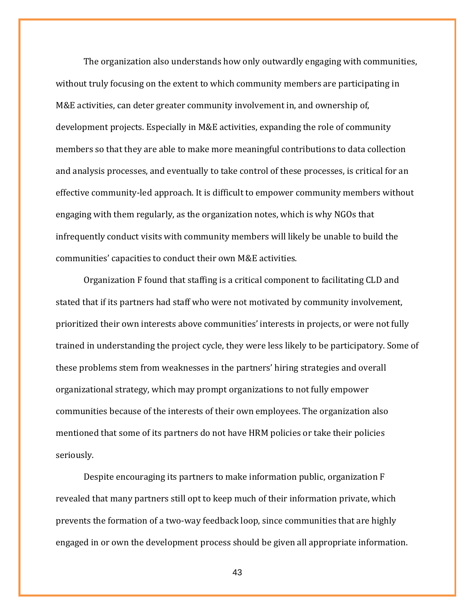The organization also understands how only outwardly engaging with communities, without truly focusing on the extent to which community members are participating in M&E activities, can deter greater community involvement in, and ownership of, development projects. Especially in M&E activities, expanding the role of community members so that they are able to make more meaningful contributions to data collection and analysis processes, and eventually to take control of these processes, is critical for an effective community-led approach. It is difficult to empower community members without engaging with them regularly, as the organization notes, which is why NGOs that infrequently conduct visits with community members will likely be unable to build the communities' capacities to conduct their own M&E activities.

Organization F found that staffing is a critical component to facilitating CLD and stated that if its partners had staff who were not motivated by community involvement, prioritized their own interests above communities' interests in projects, or were not fully trained in understanding the project cycle, they were less likely to be participatory. Some of these problems stem from weaknesses in the partners' hiring strategies and overall organizational strategy, which may prompt organizations to not fully empower communities because of the interests of their own employees. The organization also mentioned that some of its partners do not have HRM policies or take their policies seriously.

Despite encouraging its partners to make information public, organization F revealed that many partners still opt to keep much of their information private, which prevents the formation of a two-way feedback loop, since communities that are highly engaged in or own the development process should be given all appropriate information.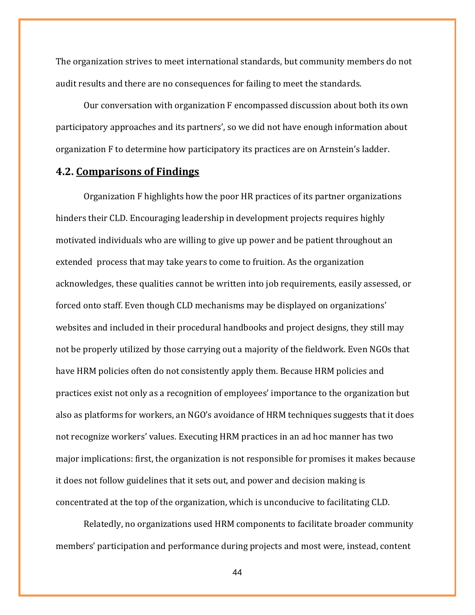The organization strives to meet international standards, but community members do not audit results and there are no consequences for failing to meet the standards.

Our conversation with organization F encompassed discussion about both its own participatory approaches and its partners', so we did not have enough information about organization F to determine how participatory its practices are on Arnstein's ladder.

## **4.2. Comparisons of Findings**

Organization F highlights how the poor HR practices of its partner organizations hinders their CLD. Encouraging leadership in development projects requires highly motivated individuals who are willing to give up power and be patient throughout an extended process that may take years to come to fruition. As the organization acknowledges, these qualities cannot be written into job requirements, easily assessed, or forced onto staff. Even though CLD mechanisms may be displayed on organizations' websites and included in their procedural handbooks and project designs, they still may not be properly utilized by those carrying out a majority of the fieldwork. Even NGOs that have HRM policies often do not consistently apply them. Because HRM policies and practices exist not only as a recognition of employees' importance to the organization but also as platforms for workers, an NGO's avoidance of HRM techniques suggests that it does not recognize workers' values. Executing HRM practices in an ad hoc manner has two major implications: first, the organization is not responsible for promises it makes because it does not follow guidelines that it sets out, and power and decision making is concentrated at the top of the organization, which is unconducive to facilitating CLD.

Relatedly, no organizations used HRM components to facilitate broader community members' participation and performance during projects and most were, instead, content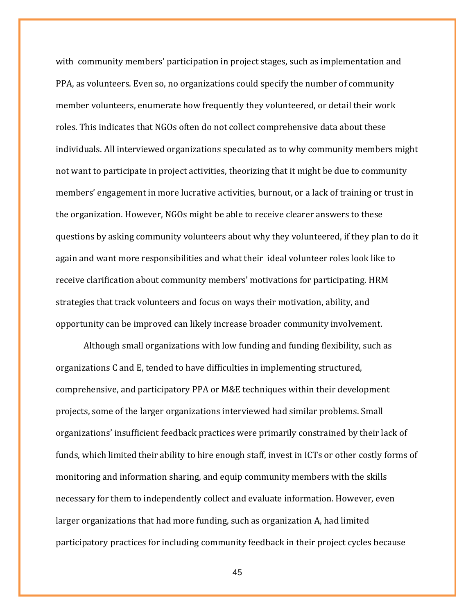with community members' participation in project stages, such as implementation and PPA, as volunteers. Even so, no organizations could specify the number of community member volunteers, enumerate how frequently they volunteered, or detail their work roles. This indicates that NGOs often do not collect comprehensive data about these individuals. All interviewed organizations speculated as to why community members might not want to participate in project activities, theorizing that it might be due to community members' engagement in more lucrative activities, burnout, or a lack of training or trust in the organization. However, NGOs might be able to receive clearer answers to these questions by asking community volunteers about why they volunteered, if they plan to do it again and want more responsibilities and what their ideal volunteer roles look like to receive clarification about community members' motivations for participating. HRM strategies that track volunteers and focus on ways their motivation, ability, and opportunity can be improved can likely increase broader community involvement.

Although small organizations with low funding and funding flexibility, such as organizations C and E, tended to have difficulties in implementing structured, comprehensive, and participatory PPA or M&E techniques within their development projects, some of the larger organizations interviewed had similar problems. Small organizations' insufficient feedback practices were primarily constrained by their lack of funds, which limited their ability to hire enough staff, invest in ICTs or other costly forms of monitoring and information sharing, and equip community members with the skills necessary for them to independently collect and evaluate information. However, even larger organizations that had more funding, such as organization A, had limited participatory practices for including community feedback in their project cycles because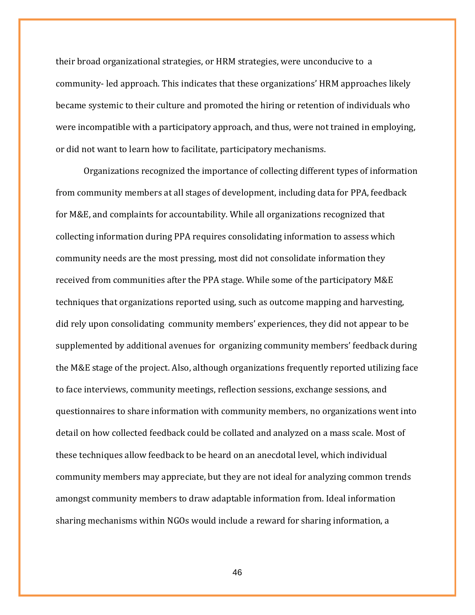their broad organizational strategies, or HRM strategies, were unconducive to a community- led approach. This indicates that these organizations' HRM approaches likely became systemic to their culture and promoted the hiring or retention of individuals who were incompatible with a participatory approach, and thus, were not trained in employing, or did not want to learn how to facilitate, participatory mechanisms.

Organizations recognized the importance of collecting different types of information from community members at all stages of development, including data for PPA, feedback for M&E, and complaints for accountability. While all organizations recognized that collecting information during PPA requires consolidating information to assess which community needs are the most pressing, most did not consolidate information they received from communities after the PPA stage. While some of the participatory M&E techniques that organizations reported using, such as outcome mapping and harvesting, did rely upon consolidating community members' experiences, they did not appear to be supplemented by additional avenues for organizing community members' feedback during the M&E stage of the project. Also, although organizations frequently reported utilizing face to face interviews, community meetings, reflection sessions, exchange sessions, and questionnaires to share information with community members, no organizations went into detail on how collected feedback could be collated and analyzed on a mass scale. Most of these techniques allow feedback to be heard on an anecdotal level, which individual community members may appreciate, but they are not ideal for analyzing common trends amongst community members to draw adaptable information from. Ideal information sharing mechanisms within NGOs would include a reward for sharing information, a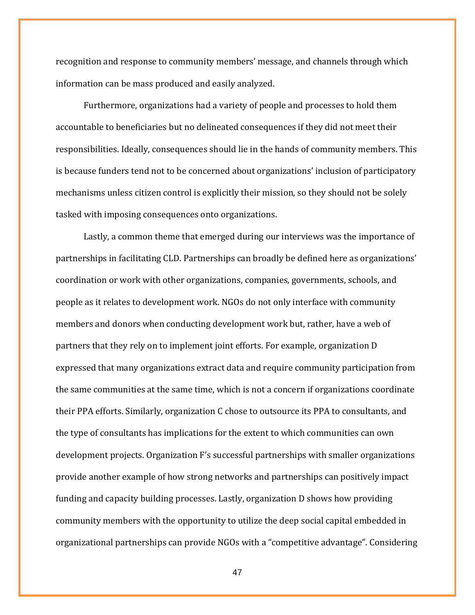recognition and response to community members' message, and channels through which information can be mass produced and easily analyzed.

Furthermore, organizations had a variety of people and processes to hold them accountable to beneficiaries but no delineated consequences if they did not meet their responsibilities. Ideally, consequences should lie in the hands of community members. This is because funders tend not to be concerned about organizations' inclusion of participatory mechanisms unless citizen control is explicitly their mission, so they should not be solely tasked with imposing consequences onto organizations.

Lastly, a common theme that emerged during our interviews was the importance of partnerships in facilitating CLD. Partnerships can broadly be defined here as organizations' coordination or work with other organizations, companies, governments, schools, and people as it relates to development work. NGOs do not only interface with community members and donors when conducting development work but, rather, have a web of partners that they rely on to implement joint efforts. For example, organization D expressed that many organizations extract data and require community participation from the same communities at the same time, which is not a concern if organizations coordinate their PPA efforts. Similarly, organization C chose to outsource its PPA to consultants, and the type of consultants has implications for the extent to which communities can own development projects. Organization F's successful partnerships with smaller organizations provide another example of how strong networks and partnerships can positively impact funding and capacity building processes. Lastly, organization D shows how providing community members with the opportunity to utilize the deep social capital embedded in organizational partnerships can provide NGOs with a "competitive advantage". Considering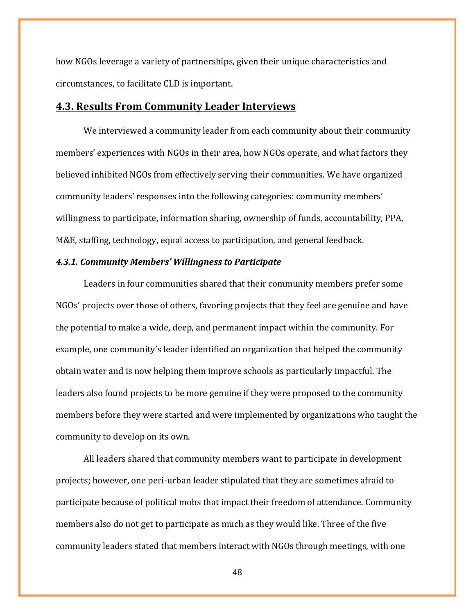how NGOs leverage a variety of partnerships, given their unique characteristics and circumstances, to facilitate CLD is important.

### **4.3. Results From Community Leader Interviews**

We interviewed a community leader from each community about their community members' experiences with NGOs in their area, how NGOs operate, and what factors they believed inhibited NGOs from effectively serving their communities. We have organized community leaders' responses into the following categories: community members' willingness to participate, information sharing, ownership of funds, accountability, PPA, M&E, staffing, technology, equal access to participation, and general feedback.

#### *4.3.1. Community Members' Willingness to Participate*

Leaders in four communities shared that their community members prefer some NGOs' projects over those of others, favoring projects that they feel are genuine and have the potential to make a wide, deep, and permanent impact within the community. For example, one community's leader identified an organization that helped the community obtain water and is now helping them improve schools as particularly impactful. The leaders also found projects to be more genuine if they were proposed to the community members before they were started and were implemented by organizations who taught the community to develop on its own.

All leaders shared that community members want to participate in development projects; however, one peri-urban leader stipulated that they are sometimes afraid to participate because of political mobs that impact their freedom of attendance. Community members also do not get to participate as much as they would like. Three of the five community leaders stated that members interact with NGOs through meetings, with one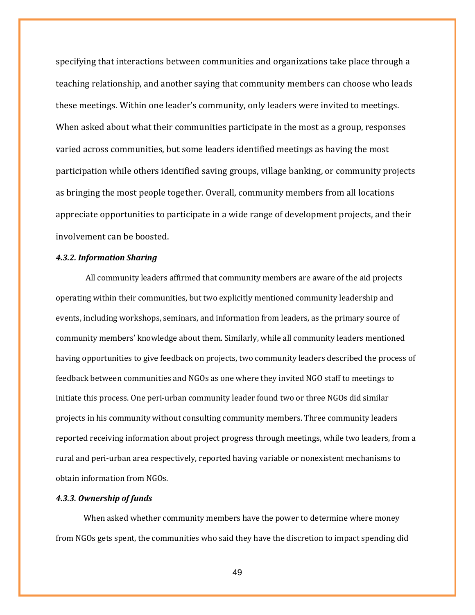specifying that interactions between communities and organizations take place through a teaching relationship, and another saying that community members can choose who leads these meetings. Within one leader's community, only leaders were invited to meetings. When asked about what their communities participate in the most as a group, responses varied across communities, but some leaders identified meetings as having the most participation while others identified saving groups, village banking, or community projects as bringing the most people together. Overall, community members from all locations appreciate opportunities to participate in a wide range of development projects, and their involvement can be boosted.

#### *4.3.2. Information Sharing*

All community leaders affirmed that community members are aware of the aid projects operating within their communities, but two explicitly mentioned community leadership and events, including workshops, seminars, and information from leaders, as the primary source of community members' knowledge about them. Similarly, while all community leaders mentioned having opportunities to give feedback on projects, two community leaders described the process of feedback between communities and NGOs as one where they invited NGO staff to meetings to initiate this process. One peri-urban community leader found two or three NGOs did similar projects in his community without consulting community members. Three community leaders reported receiving information about project progress through meetings, while two leaders, from a rural and peri-urban area respectively, reported having variable or nonexistent mechanisms to obtain information from NGOs.

#### *4.3.3. Ownership of funds*

When asked whether community members have the power to determine where money from NGOs gets spent, the communities who said they have the discretion to impact spending did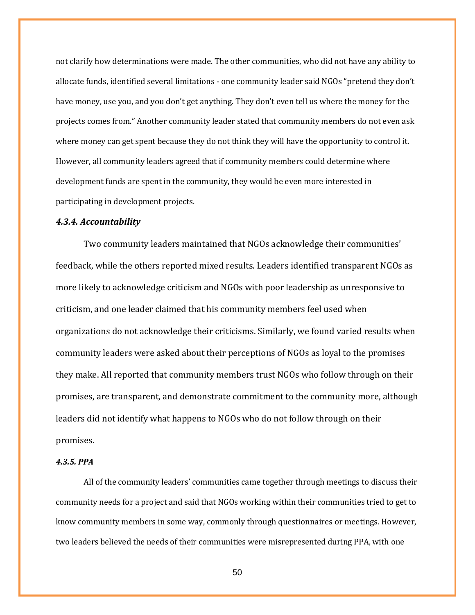not clarify how determinations were made. The other communities, who did not have any ability to allocate funds, identified several limitations - one community leader said NGOs "pretend they don't have money, use you, and you don't get anything. They don't even tell us where the money for the projects comes from." Another community leader stated that community members do not even ask where money can get spent because they do not think they will have the opportunity to control it. However, all community leaders agreed that if community members could determine where development funds are spent in the community, they would be even more interested in participating in development projects.

#### *4.3.4. Accountability*

Two community leaders maintained that NGOs acknowledge their communities' feedback, while the others reported mixed results. Leaders identified transparent NGOs as more likely to acknowledge criticism and NGOs with poor leadership as unresponsive to criticism, and one leader claimed that his community members feel used when organizations do not acknowledge their criticisms. Similarly, we found varied results when community leaders were asked about their perceptions of NGOs as loyal to the promises they make. All reported that community members trust NGOs who follow through on their promises, are transparent, and demonstrate commitment to the community more, although leaders did not identify what happens to NGOs who do not follow through on their promises.

#### *4.3.5. PPA*

All of the community leaders' communities came together through meetings to discuss their community needs for a project and said that NGOs working within their communities tried to get to know community members in some way, commonly through questionnaires or meetings. However, two leaders believed the needs of their communities were misrepresented during PPA, with one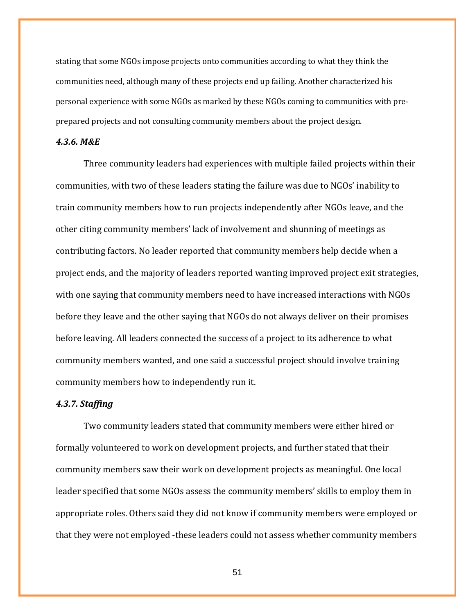stating that some NGOs impose projects onto communities according to what they think the communities need, although many of these projects end up failing. Another characterized his personal experience with some NGOs as marked by these NGOs coming to communities with preprepared projects and not consulting community members about the project design.

### *4.3.6. M&E*

Three community leaders had experiences with multiple failed projects within their communities, with two of these leaders stating the failure was due to NGOs' inability to train community members how to run projects independently after NGOs leave, and the other citing community members' lack of involvement and shunning of meetings as contributing factors. No leader reported that community members help decide when a project ends, and the majority of leaders reported wanting improved project exit strategies, with one saying that community members need to have increased interactions with NGOs before they leave and the other saying that NGOs do not always deliver on their promises before leaving. All leaders connected the success of a project to its adherence to what community members wanted, and one said a successful project should involve training community members how to independently run it.

#### *4.3.7. Staffing*

Two community leaders stated that community members were either hired or formally volunteered to work on development projects, and further stated that their community members saw their work on development projects as meaningful. One local leader specified that some NGOs assess the community members' skills to employ them in appropriate roles. Others said they did not know if community members were employed or that they were not employed -these leaders could not assess whether community members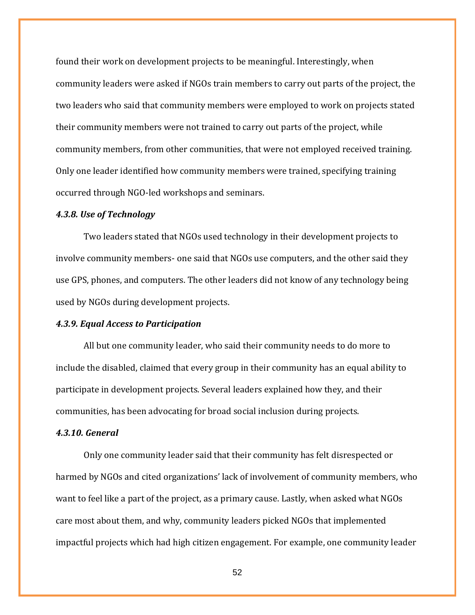found their work on development projects to be meaningful. Interestingly, when community leaders were asked if NGOs train members to carry out parts of the project, the two leaders who said that community members were employed to work on projects stated their community members were not trained to carry out parts of the project, while community members, from other communities, that were not employed received training. Only one leader identified how community members were trained, specifying training occurred through NGO-led workshops and seminars.

### *4.3.8. Use of Technology*

Two leaders stated that NGOs used technology in their development projects to involve community members- one said that NGOs use computers, and the other said they use GPS, phones, and computers. The other leaders did not know of any technology being used by NGOs during development projects.

#### *4.3.9. Equal Access to Participation*

All but one community leader, who said their community needs to do more to include the disabled, claimed that every group in their community has an equal ability to participate in development projects. Several leaders explained how they, and their communities, has been advocating for broad social inclusion during projects.

### *4.3.10. General*

Only one community leader said that their community has felt disrespected or harmed by NGOs and cited organizations' lack of involvement of community members, who want to feel like a part of the project, as a primary cause. Lastly, when asked what NGOs care most about them, and why, community leaders picked NGOs that implemented impactful projects which had high citizen engagement. For example, one community leader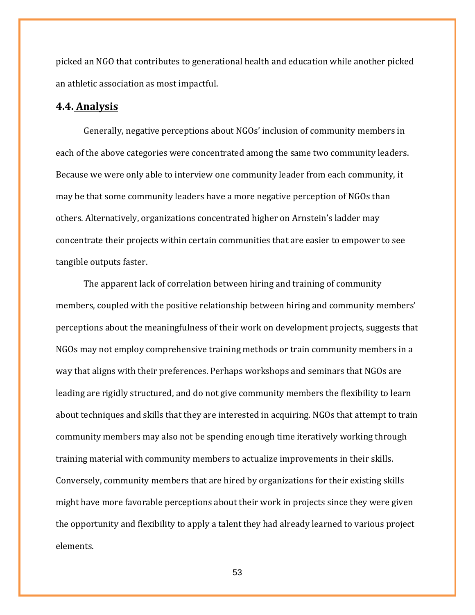picked an NGO that contributes to generational health and education while another picked an athletic association as most impactful.

### **4.4. Analysis**

Generally, negative perceptions about NGOs' inclusion of community members in each of the above categories were concentrated among the same two community leaders. Because we were only able to interview one community leader from each community, it may be that some community leaders have a more negative perception of NGOs than others. Alternatively, organizations concentrated higher on Arnstein's ladder may concentrate their projects within certain communities that are easier to empower to see tangible outputs faster.

The apparent lack of correlation between hiring and training of community members, coupled with the positive relationship between hiring and community members' perceptions about the meaningfulness of their work on development projects, suggests that NGOs may not employ comprehensive training methods or train community members in a way that aligns with their preferences. Perhaps workshops and seminars that NGOs are leading are rigidly structured, and do not give community members the flexibility to learn about techniques and skills that they are interested in acquiring. NGOs that attempt to train community members may also not be spending enough time iteratively working through training material with community members to actualize improvements in their skills. Conversely, community members that are hired by organizations for their existing skills might have more favorable perceptions about their work in projects since they were given the opportunity and flexibility to apply a talent they had already learned to various project elements.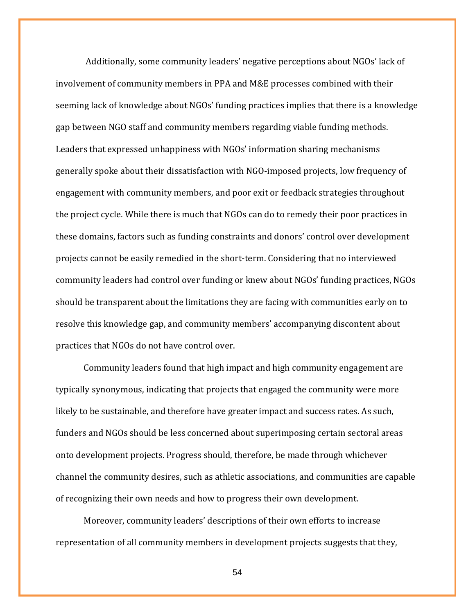Additionally, some community leaders' negative perceptions about NGOs' lack of involvement of community members in PPA and M&E processes combined with their seeming lack of knowledge about NGOs' funding practices implies that there is a knowledge gap between NGO staff and community members regarding viable funding methods. Leaders that expressed unhappiness with NGOs' information sharing mechanisms generally spoke about their dissatisfaction with NGO-imposed projects, low frequency of engagement with community members, and poor exit or feedback strategies throughout the project cycle. While there is much that NGOs can do to remedy their poor practices in these domains, factors such as funding constraints and donors' control over development projects cannot be easily remedied in the short-term. Considering that no interviewed community leaders had control over funding or knew about NGOs' funding practices, NGOs should be transparent about the limitations they are facing with communities early on to resolve this knowledge gap, and community members' accompanying discontent about practices that NGOs do not have control over.

Community leaders found that high impact and high community engagement are typically synonymous, indicating that projects that engaged the community were more likely to be sustainable, and therefore have greater impact and success rates. As such, funders and NGOs should be less concerned about superimposing certain sectoral areas onto development projects. Progress should, therefore, be made through whichever channel the community desires, such as athletic associations, and communities are capable of recognizing their own needs and how to progress their own development.

Moreover, community leaders' descriptions of their own efforts to increase representation of all community members in development projects suggests that they,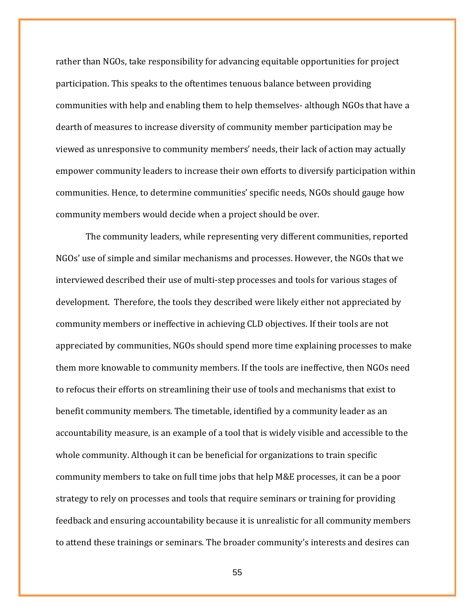rather than NGOs, take responsibility for advancing equitable opportunities for project participation. This speaks to the oftentimes tenuous balance between providing communities with help and enabling them to help themselves- although NGOs that have a dearth of measures to increase diversity of community member participation may be viewed as unresponsive to community members' needs, their lack of action may actually empower community leaders to increase their own efforts to diversify participation within communities. Hence, to determine communities' specific needs, NGOs should gauge how community members would decide when a project should be over.

The community leaders, while representing very different communities, reported NGOs' use of simple and similar mechanisms and processes. However, the NGOs that we interviewed described their use of multi-step processes and tools for various stages of development. Therefore, the tools they described were likely either not appreciated by community members or ineffective in achieving CLD objectives. If their tools are not appreciated by communities, NGOs should spend more time explaining processes to make them more knowable to community members. If the tools are ineffective, then NGOs need to refocus their efforts on streamlining their use of tools and mechanisms that exist to benefit community members. The timetable, identified by a community leader as an accountability measure, is an example of a tool that is widely visible and accessible to the whole community. Although it can be beneficial for organizations to train specific community members to take on full time jobs that help M&E processes, it can be a poor strategy to rely on processes and tools that require seminars or training for providing feedback and ensuring accountability because it is unrealistic for all community members to attend these trainings or seminars. The broader community's interests and desires can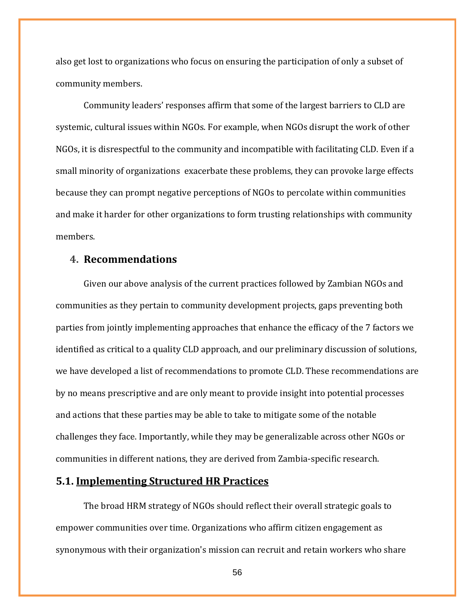also get lost to organizations who focus on ensuring the participation of only a subset of community members.

Community leaders' responses affirm that some of the largest barriers to CLD are systemic, cultural issues within NGOs. For example, when NGOs disrupt the work of other NGOs, it is disrespectful to the community and incompatible with facilitating CLD. Even if a small minority of organizations exacerbate these problems, they can provoke large effects because they can prompt negative perceptions of NGOs to percolate within communities and make it harder for other organizations to form trusting relationships with community members.

## **4. Recommendations**

Given our above analysis of the current practices followed by Zambian NGOs and communities as they pertain to community development projects, gaps preventing both parties from jointly implementing approaches that enhance the efficacy of the 7 factors we identified as critical to a quality CLD approach, and our preliminary discussion of solutions, we have developed a list of recommendations to promote CLD. These recommendations are by no means prescriptive and are only meant to provide insight into potential processes and actions that these parties may be able to take to mitigate some of the notable challenges they face. Importantly, while they may be generalizable across other NGOs or communities in different nations, they are derived from Zambia-specific research.

## **5.1. Implementing Structured HR Practices**

The broad HRM strategy of NGOs should reflect their overall strategic goals to empower communities over time. Organizations who affirm citizen engagement as synonymous with their organization's mission can recruit and retain workers who share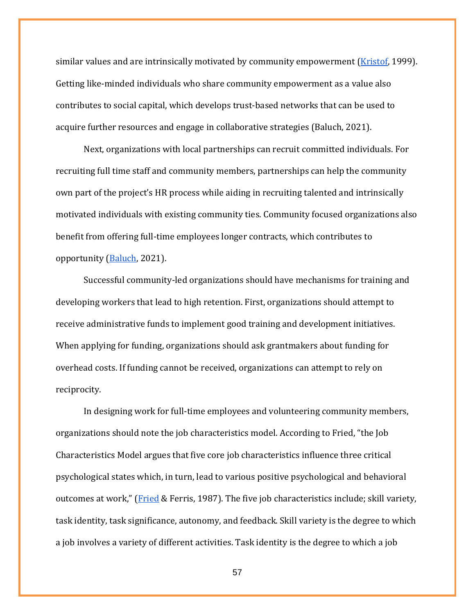similar values and are intrinsically motivated by community empowerment [\(Kristof,](https://www.proquest.com/docview/220139193?pq-origsite=gscholar&fromopenview=true) 1999). Getting like-minded individuals who share community empowerment as a value also contributes to social capital, which develops trust-based networks that can be used to acquire further resources and engage in collaborative strategies (Baluch, 2021).

Next, organizations with local partnerships can recruit committed individuals. For recruiting full time staff and community members, partnerships can help the community own part of the project's HR process while aiding in recruiting talented and intrinsically motivated individuals with existing community ties. Community focused organizations also benefit from offering full-time employees longer contracts, which contributes to opportunity [\(Baluch,](https://www.tandfonline.com/doi/full/10.1080/09585192.2017.1315043) 2021).

Successful community-led organizations should have mechanisms for training and developing workers that lead to high retention. First, organizations should attempt to receive administrative funds to implement good training and development initiatives. When applying for funding, organizations should ask grantmakers about funding for overhead costs. If funding cannot be received, organizations can attempt to rely on reciprocity.

In designing work for full-time employees and volunteering community members, organizations should note the job characteristics model. According to Fried, "the Job Characteristics Model argues that five core job characteristics influence three critical psychological states which, in turn, lead to various positive psychological and behavioral outcomes at work," [\(Fried](https://onlinelibrary.wiley.com/doi/abs/10.1111/j.1744-6570.1987.tb00605.x) & Ferris, 1987). The five job characteristics include; skill variety, task identity, task significance, autonomy, and feedback. Skill variety is the degree to which a job involves a variety of different activities. Task identity is the degree to which a job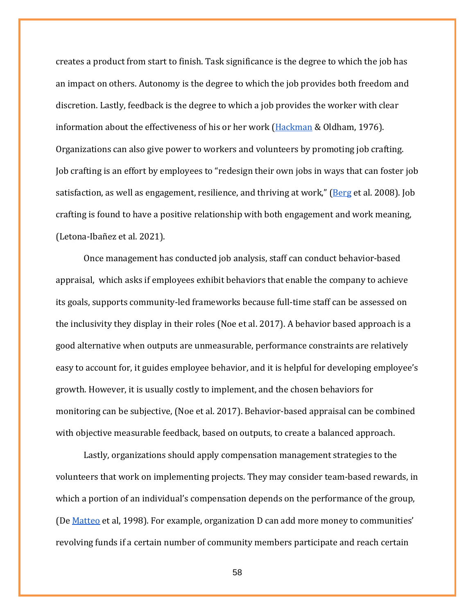creates a product from start to finish. Task significance is the degree to which the job has an impact on others. Autonomy is the degree to which the job provides both freedom and discretion. Lastly, feedback is the degree to which a job provides the worker with clear information about the effectiveness of his or her work [\(Hackman](https://www.sciencedirect.com/science/article/pii/0030507376900167) & Oldham, 1976). Organizations can also give power to workers and volunteers by promoting job crafting. Job crafting is an effort by employees to "redesign their own jobs in ways that can foster job satisfaction, as well as engagement, resilience, and thriving at work," [\(Berg](https://positiveorgs.bus.umich.edu/wp-content/uploads/What-is-Job-Crafting-and-Why-Does-it-Matter1.pdf) et al. 2008). Job crafting is found to have a positive relationship with both engagement and work meaning, (Letona-Ibañez et al. 2021).

Once management has conducted job analysis, staff can conduct behavior-based appraisal, which asks if employees exhibit behaviors that enable the company to achieve its goals, supports community-led frameworks because full-time staff can be assessed on the inclusivity they display in their roles (Noe et al. 2017). A behavior based approach is a good alternative when outputs are unmeasurable, performance constraints are relatively easy to account for, it guides employee behavior, and it is helpful for developing employee's growth. However, it is usually costly to implement, and the chosen behaviors for monitoring can be subjective, (Noe et al. 2017). Behavior-based appraisal can be combined with objective measurable feedback, based on outputs, to create a balanced approach.

Lastly, organizations should apply compensation management strategies to the volunteers that work on implementing projects. They may consider team-based rewards, in which a portion of an individual's compensation depends on the performance of the group, (De [Matteo](https://www.researchgate.net/profile/Lillian-Eby/publication/240450405_Team-Based_Rewards_Current_Empirical_Evidence_and_Directions_for_Future_Research/links/5694155b08aeab58a9a2ddd8/Team-Based-Rewards-Current-Empirical-Evidence-and-Directions-for-Future-Research.pdf) et al, 1998). For example, organization D can add more money to communities' revolving funds if a certain number of community members participate and reach certain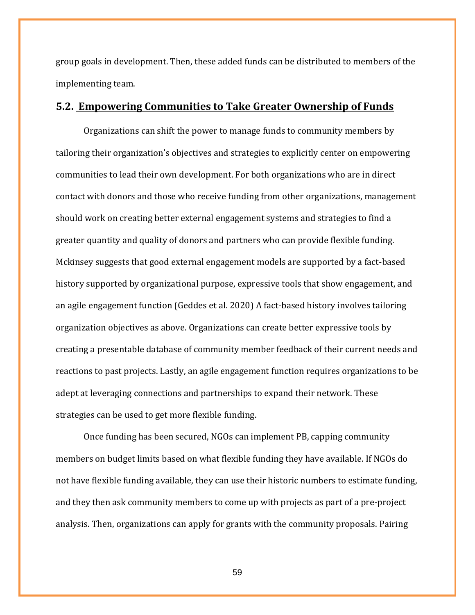group goals in development. Then, these added funds can be distributed to members of the implementing team.

### **5.2. Empowering Communities to Take Greater Ownership of Funds**

Organizations can shift the power to manage funds to community members by tailoring their organization's objectives and strategies to explicitly center on empowering communities to lead their own development. For both organizations who are in direct contact with donors and those who receive funding from other organizations, management should work on creating better external engagement systems and strategies to find a greater quantity and quality of donors and partners who can provide flexible funding. Mckinsey suggests that good external engagement models are supported by a fact-based history supported by organizational purpose, expressive tools that show engagement, and an agile engagement function (Geddes et al. 2020) A fact-based history involves tailoring organization objectives as above. Organizations can create better expressive tools by creating a presentable database of community member feedback of their current needs and reactions to past projects. Lastly, an agile engagement function requires organizations to be adept at leveraging connections and partnerships to expand their network. These strategies can be used to get more flexible funding.

Once funding has been secured, NGOs can implement PB, capping community members on budget limits based on what flexible funding they have available. If NGOs do not have flexible funding available, they can use their historic numbers to estimate funding, and they then ask community members to come up with projects as part of a pre-project analysis. Then, organizations can apply for grants with the community proposals. Pairing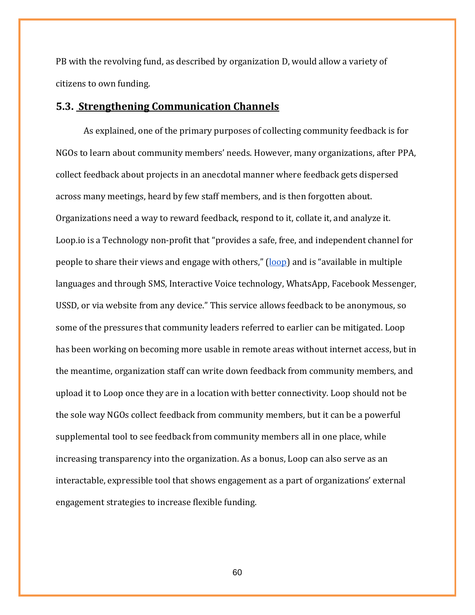PB with the revolving fund, as described by organization D, would allow a variety of citizens to own funding.

## **5.3. Strengthening Communication Channels**

As explained, one of the primary purposes of collecting community feedback is for NGOs to learn about community members' needs. However, many organizations, after PPA, collect feedback about projects in an anecdotal manner where feedback gets dispersed across many meetings, heard by few staff members, and is then forgotten about. Organizations need a way to reward feedback, respond to it, collate it, and analyze it. Loop.io is a Technology non-profit that "provides a safe, free, and independent channel for people to share their views and engage with others," [\(loop\)](https://www.ourloop.io/home) and is "available in multiple languages and through SMS, Interactive Voice technology, WhatsApp, Facebook Messenger, USSD, or via website from any device." This service allows feedback to be anonymous, so some of the pressures that community leaders referred to earlier can be mitigated. Loop has been working on becoming more usable in remote areas without internet access, but in the meantime, organization staff can write down feedback from community members, and upload it to Loop once they are in a location with better connectivity. Loop should not be the sole way NGOs collect feedback from community members, but it can be a powerful supplemental tool to see feedback from community members all in one place, while increasing transparency into the organization. As a bonus, Loop can also serve as an interactable, expressible tool that shows engagement as a part of organizations' external engagement strategies to increase flexible funding.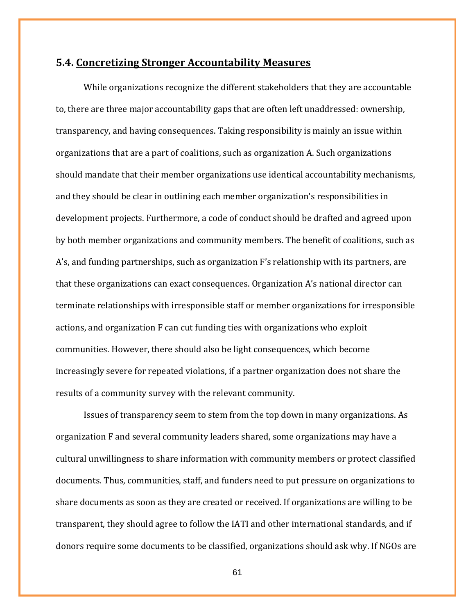## **5.4. Concretizing Stronger Accountability Measures**

While organizations recognize the different stakeholders that they are accountable to, there are three major accountability gaps that are often left unaddressed: ownership, transparency, and having consequences. Taking responsibility is mainly an issue within organizations that are a part of coalitions, such as organization A. Such organizations should mandate that their member organizations use identical accountability mechanisms, and they should be clear in outlining each member organization's responsibilities in development projects. Furthermore, a code of conduct should be drafted and agreed upon by both member organizations and community members. The benefit of coalitions, such as A's, and funding partnerships, such as organization F's relationship with its partners, are that these organizations can exact consequences. Organization A's national director can terminate relationships with irresponsible staff or member organizations for irresponsible actions, and organization F can cut funding ties with organizations who exploit communities. However, there should also be light consequences, which become increasingly severe for repeated violations, if a partner organization does not share the results of a community survey with the relevant community.

Issues of transparency seem to stem from the top down in many organizations. As organization F and several community leaders shared, some organizations may have a cultural unwillingness to share information with community members or protect classified documents. Thus, communities, staff, and funders need to put pressure on organizations to share documents as soon as they are created or received. If organizations are willing to be transparent, they should agree to follow the IATI and other international standards, and if donors require some documents to be classified, organizations should ask why. If NGOs are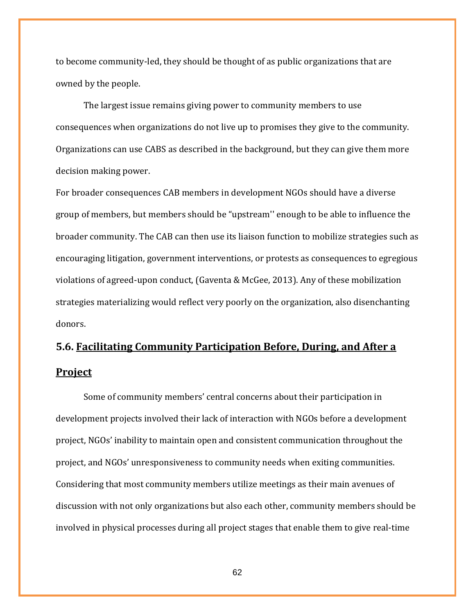to become community-led, they should be thought of as public organizations that are owned by the people.

The largest issue remains giving power to community members to use consequences when organizations do not live up to promises they give to the community. Organizations can use CABS as described in the background, but they can give them more decision making power.

For broader consequences CAB members in development NGOs should have a diverse group of members, but members should be "upstream'' enough to be able to influence the broader community. The CAB can then use its liaison function to mobilize strategies such as encouraging litigation, government interventions, or protests as consequences to egregious violations of agreed-upon conduct, (Gaventa & McGee, 2013). Any of these mobilization strategies materializing would reflect very poorly on the organization, also disenchanting donors.

## **5.6. Facilitating Community Participation Before, During, and After a**

### **Project**

Some of community members' central concerns about their participation in development projects involved their lack of interaction with NGOs before a development project, NGOs' inability to maintain open and consistent communication throughout the project, and NGOs' unresponsiveness to community needs when exiting communities. Considering that most community members utilize meetings as their main avenues of discussion with not only organizations but also each other, community members should be involved in physical processes during all project stages that enable them to give real-time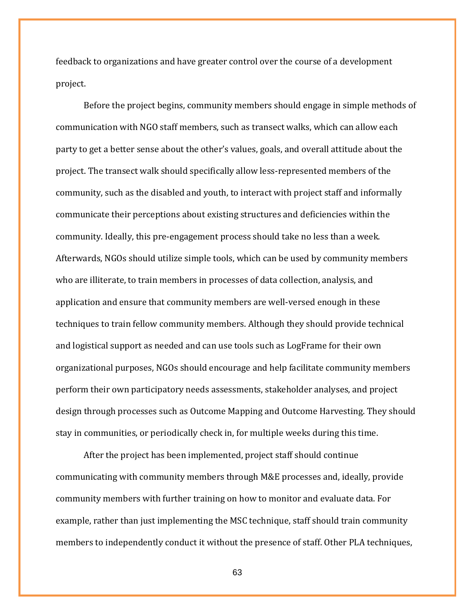feedback to organizations and have greater control over the course of a development project.

Before the project begins, community members should engage in simple methods of communication with NGO staff members, such as transect walks, which can allow each party to get a better sense about the other's values, goals, and overall attitude about the project. The transect walk should specifically allow less-represented members of the community, such as the disabled and youth, to interact with project staff and informally communicate their perceptions about existing structures and deficiencies within the community. Ideally, this pre-engagement process should take no less than a week. Afterwards, NGOs should utilize simple tools, which can be used by community members who are illiterate, to train members in processes of data collection, analysis, and application and ensure that community members are well-versed enough in these techniques to train fellow community members. Although they should provide technical and logistical support as needed and can use tools such as LogFrame for their own organizational purposes, NGOs should encourage and help facilitate community members perform their own participatory needs assessments, stakeholder analyses, and project design through processes such as Outcome Mapping and Outcome Harvesting. They should stay in communities, or periodically check in, for multiple weeks during this time.

After the project has been implemented, project staff should continue communicating with community members through M&E processes and, ideally, provide community members with further training on how to monitor and evaluate data. For example, rather than just implementing the MSC technique, staff should train community members to independently conduct it without the presence of staff. Other PLA techniques,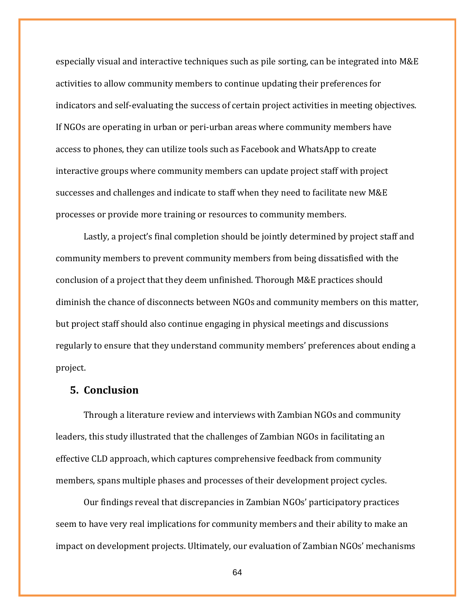especially visual and interactive techniques such as pile sorting, can be integrated into M&E activities to allow community members to continue updating their preferences for indicators and self-evaluating the success of certain project activities in meeting objectives. If NGOs are operating in urban or peri-urban areas where community members have access to phones, they can utilize tools such as Facebook and WhatsApp to create interactive groups where community members can update project staff with project successes and challenges and indicate to staff when they need to facilitate new M&E processes or provide more training or resources to community members.

Lastly, a project's final completion should be jointly determined by project staff and community members to prevent community members from being dissatisfied with the conclusion of a project that they deem unfinished. Thorough M&E practices should diminish the chance of disconnects between NGOs and community members on this matter, but project staff should also continue engaging in physical meetings and discussions regularly to ensure that they understand community members' preferences about ending a project.

## **5. Conclusion**

Through a literature review and interviews with Zambian NGOs and community leaders, this study illustrated that the challenges of Zambian NGOs in facilitating an effective CLD approach, which captures comprehensive feedback from community members, spans multiple phases and processes of their development project cycles.

Our findings reveal that discrepancies in Zambian NGOs' participatory practices seem to have very real implications for community members and their ability to make an impact on development projects. Ultimately, our evaluation of Zambian NGOs' mechanisms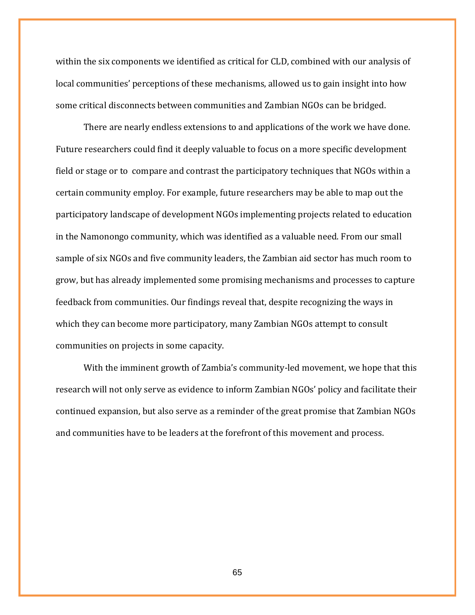within the six components we identified as critical for CLD, combined with our analysis of local communities' perceptions of these mechanisms, allowed us to gain insight into how some critical disconnects between communities and Zambian NGOs can be bridged.

There are nearly endless extensions to and applications of the work we have done. Future researchers could find it deeply valuable to focus on a more specific development field or stage or to compare and contrast the participatory techniques that NGOs within a certain community employ. For example, future researchers may be able to map out the participatory landscape of development NGOs implementing projects related to education in the Namonongo community, which was identified as a valuable need. From our small sample of six NGOs and five community leaders, the Zambian aid sector has much room to grow, but has already implemented some promising mechanisms and processes to capture feedback from communities. Our findings reveal that, despite recognizing the ways in which they can become more participatory, many Zambian NGOs attempt to consult communities on projects in some capacity.

With the imminent growth of Zambia's community-led movement, we hope that this research will not only serve as evidence to inform Zambian NGOs' policy and facilitate their continued expansion, but also serve as a reminder of the great promise that Zambian NGOs and communities have to be leaders at the forefront of this movement and process.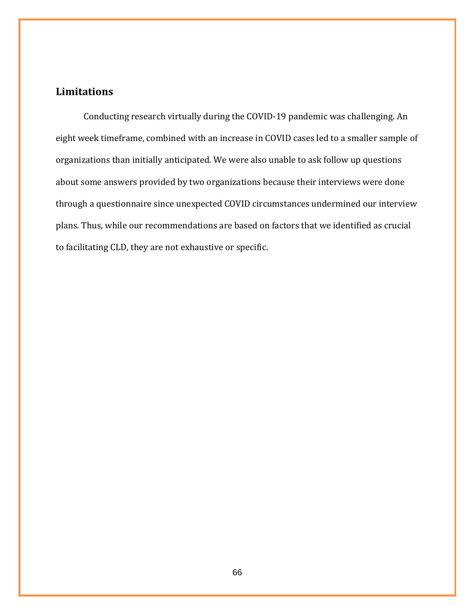# **Limitations**

Conducting research virtually during the COVID-19 pandemic was challenging. An eight week timeframe, combined with an increase in COVID cases led to a smaller sample of organizations than initially anticipated. We were also unable to ask follow up questions about some answers provided by two organizations because their interviews were done through a questionnaire since unexpected COVID circumstances undermined our interview plans. Thus, while our recommendations are based on factors that we identified as crucial to facilitating CLD, they are not exhaustive or specific.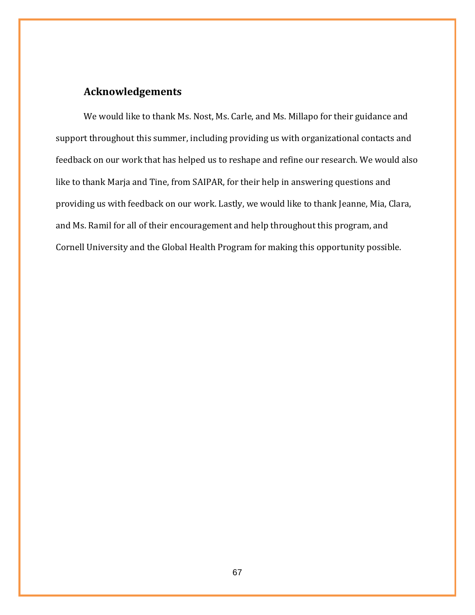# **Acknowledgements**

We would like to thank Ms. Nost, Ms. Carle, and Ms. Millapo for their guidance and support throughout this summer, including providing us with organizational contacts and feedback on our work that has helped us to reshape and refine our research. We would also like to thank Marja and Tine, from SAIPAR, for their help in answering questions and providing us with feedback on our work. Lastly, we would like to thank Jeanne, Mia, Clara, and Ms. Ramil for all of their encouragement and help throughout this program, and Cornell University and the Global Health Program for making this opportunity possible.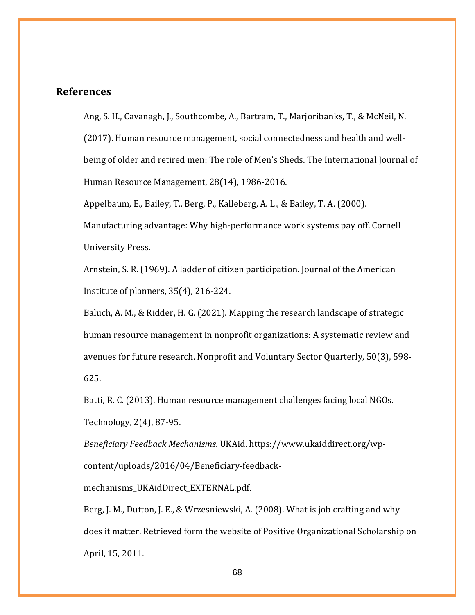## **References**

Ang, S. H., Cavanagh, J., Southcombe, A., Bartram, T., Marjoribanks, T., & McNeil, N. (2017). Human resource management, social connectedness and health and wellbeing of older and retired men: The role of Men's Sheds. The International Journal of Human Resource Management, 28(14), 1986-2016.

Appelbaum, E., Bailey, T., Berg, P., Kalleberg, A. L., & Bailey, T. A. (2000).

Manufacturing advantage: Why high-performance work systems pay off. Cornell University Press.

Arnstein, S. R. (1969). A ladder of citizen participation. Journal of the American Institute of planners, 35(4), 216-224.

Baluch, A. M., & Ridder, H. G. (2021). Mapping the research landscape of strategic human resource management in nonprofit organizations: A systematic review and avenues for future research. Nonprofit and Voluntary Sector Quarterly, 50(3), 598- 625.

Batti, R. C. (2013). Human resource management challenges facing local NGOs. Technology, 2(4), 87-95.

*Beneficiary Feedback Mechanisms*. UKAid. https://www.ukaiddirect.org/wpcontent/uploads/2016/04/Beneficiary-feedback-

mechanisms\_UKAidDirect\_EXTERNAL.pdf.

Berg, J. M., Dutton, J. E., & Wrzesniewski, A. (2008). What is job crafting and why does it matter. Retrieved form the website of Positive Organizational Scholarship on April, 15, 2011.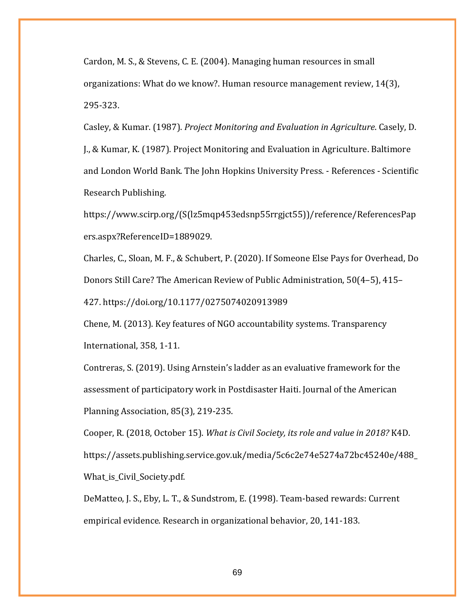Cardon, M. S., & Stevens, C. E. (2004). Managing human resources in small organizations: What do we know?. Human resource management review, 14(3), 295-323.

Casley, & Kumar. (1987). *Project Monitoring and Evaluation in Agriculture*. Casely, D. J., & Kumar, K. (1987). Project Monitoring and Evaluation in Agriculture. Baltimore and London World Bank. The John Hopkins University Press. - References - Scientific Research Publishing.

https://www.scirp.org/(S(lz5mqp453edsnp55rrgjct55))/reference/ReferencesPap ers.aspx?ReferenceID=1889029.

Charles, C., Sloan, M. F., & Schubert, P. (2020). If Someone Else Pays for Overhead, Do Donors Still Care? The American Review of Public Administration, 50(4–5), 415– 427. https://doi.org/10.1177/0275074020913989

Chene, M. (2013). Key features of NGO accountability systems. Transparency International, 358, 1-11.

Contreras, S. (2019). Using Arnstein's ladder as an evaluative framework for the assessment of participatory work in Postdisaster Haiti. Journal of the American Planning Association, 85(3), 219-235.

Cooper, R. (2018, October 15). *What is Civil Society, its role and value in 2018?* K4D. https://assets.publishing.service.gov.uk/media/5c6c2e74e5274a72bc45240e/488\_ What\_is\_Civil\_Society.pdf.

DeMatteo, J. S., Eby, L. T., & Sundstrom, E. (1998). Team-based rewards: Current empirical evidence. Research in organizational behavior, 20, 141-183.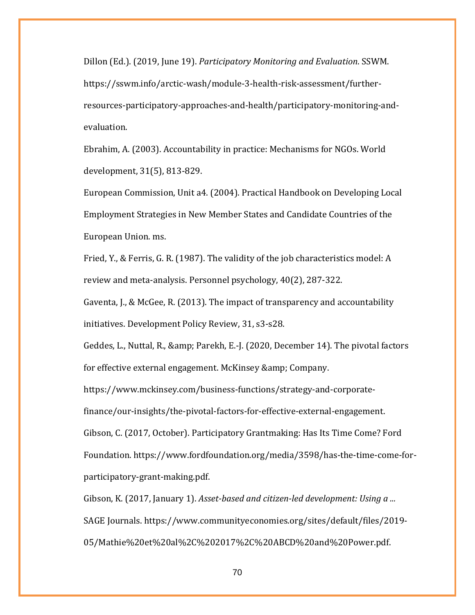Dillon (Ed.). (2019, June 19). *Participatory Monitoring and Evaluation*. SSWM. https://sswm.info/arctic-wash/module-3-health-risk-assessment/furtherresources-participatory-approaches-and-health/participatory-monitoring-andevaluation.

Ebrahim, A. (2003). Accountability in practice: Mechanisms for NGOs. World development, 31(5), 813-829.

European Commission, Unit a4. (2004). Practical Handbook on Developing Local Employment Strategies in New Member States and Candidate Countries of the European Union. ms.

Fried, Y., & Ferris, G. R. (1987). The validity of the job characteristics model: A review and meta-analysis. Personnel psychology, 40(2), 287-322.

Gaventa, J., & McGee, R. (2013). The impact of transparency and accountability initiatives. Development Policy Review, 31, s3-s28.

Geddes, L., Nuttal, R., & amp; Parekh, E.-J. (2020, December 14). The pivotal factors for effective external engagement. McKinsey & amp; Company.

https://www.mckinsey.com/business-functions/strategy-and-corporate-

finance/our-insights/the-pivotal-factors-for-effective-external-engagement.

Gibson, C. (2017, October). Participatory Grantmaking: Has Its Time Come? Ford

Foundation. https://www.fordfoundation.org/media/3598/has-the-time-come-forparticipatory-grant-making.pdf.

Gibson, K. (2017, January 1). *Asset-based and citizen-led development: Using a ...* SAGE Journals. https://www.communityeconomies.org/sites/default/files/2019- 05/Mathie%20et%20al%2C%202017%2C%20ABCD%20and%20Power.pdf.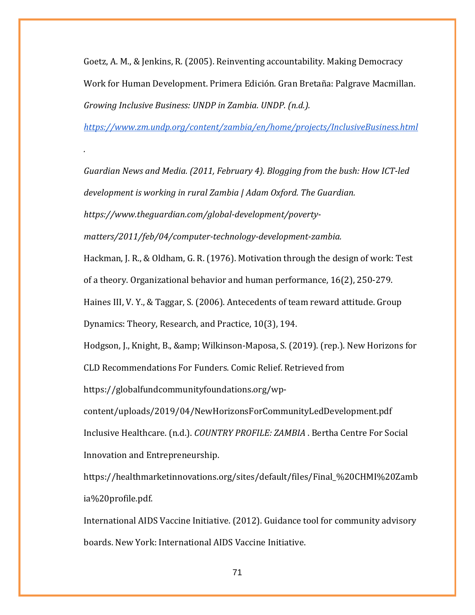Goetz, A. M., & Jenkins, R. (2005). Reinventing accountability. Making Democracy Work for Human Development. Primera Edición. Gran Bretaña: Palgrave Macmillan. *Growing Inclusive Business: UNDP in Zambia. UNDP. (n.d.).* 

*<https://www.zm.undp.org/content/zambia/en/home/projects/InclusiveBusiness.html>*

*Guardian News and Media. (2011, February 4). Blogging from the bush: How ICT-led* 

*development is working in rural Zambia | Adam Oxford. The Guardian.* 

*https://www.theguardian.com/global-development/poverty-*

*.*

*matters/2011/feb/04/computer-technology-development-zambia.* 

Hackman, J. R., & Oldham, G. R. (1976). Motivation through the design of work: Test of a theory. Organizational behavior and human performance, 16(2), 250-279.

Haines III, V. Y., & Taggar, S. (2006). Antecedents of team reward attitude. Group Dynamics: Theory, Research, and Practice, 10(3), 194.

Hodgson, J., Knight, B., & amp; Wilkinson-Maposa, S. (2019). (rep.). New Horizons for CLD Recommendations For Funders. Comic Relief. Retrieved from

https://globalfundcommunityfoundations.org/wp-

content/uploads/2019/04/NewHorizonsForCommunityLedDevelopment.pdf Inclusive Healthcare. (n.d.). *COUNTRY PROFILE: ZAMBIA* . Bertha Centre For Social Innovation and Entrepreneurship.

https://healthmarketinnovations.org/sites/default/files/Final\_%20CHMI%20Zamb ia%20profile.pdf.

International AIDS Vaccine Initiative. (2012). Guidance tool for community advisory boards. New York: International AIDS Vaccine Initiative.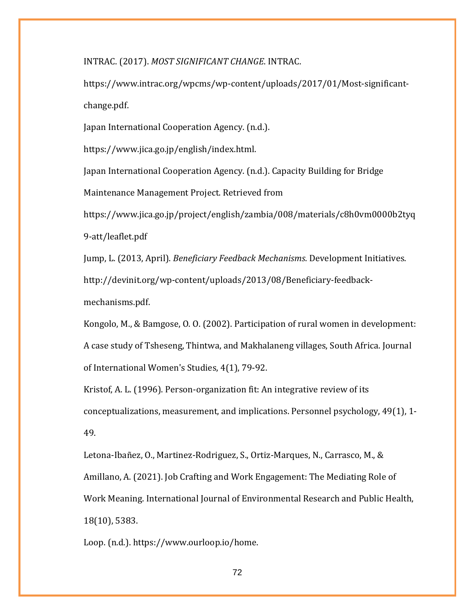INTRAC. (2017). *MOST SIGNIFICANT CHANGE*. INTRAC.

https://www.intrac.org/wpcms/wp-content/uploads/2017/01/Most-significantchange.pdf.

Japan International Cooperation Agency. (n.d.).

https://www.jica.go.jp/english/index.html.

Japan International Cooperation Agency. (n.d.). Capacity Building for Bridge

Maintenance Management Project. Retrieved from

https://www.jica.go.jp/project/english/zambia/008/materials/c8h0vm0000b2tyq 9-att/leaflet.pdf

Jump, L. (2013, April). *Beneficiary Feedback Mechanisms*. Development Initiatives. http://devinit.org/wp-content/uploads/2013/08/Beneficiary-feedbackmechanisms.pdf.

Kongolo, M., & Bamgose, O. O. (2002). Participation of rural women in development: A case study of Tsheseng, Thintwa, and Makhalaneng villages, South Africa. Journal of International Women's Studies, 4(1), 79-92.

Kristof, A. L. (1996). Person-organization fit: An integrative review of its conceptualizations, measurement, and implications. Personnel psychology, 49(1), 1- 49.

Letona-Ibañez, O., Martinez-Rodriguez, S., Ortiz-Marques, N., Carrasco, M., & Amillano, A. (2021). Job Crafting and Work Engagement: The Mediating Role of Work Meaning. International Journal of Environmental Research and Public Health, 18(10), 5383.

Loop. (n.d.). https://www.ourloop.io/home.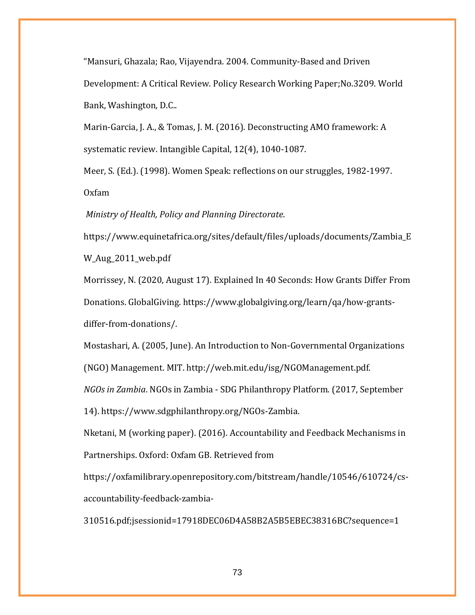"Mansuri, Ghazala; Rao, Vijayendra. 2004. Community-Based and Driven Development: A Critical Review. Policy Research Working Paper;No.3209. World Bank, Washington, D.C..

Marin-Garcia, J. A., & Tomas, J. M. (2016). Deconstructing AMO framework: A systematic review. Intangible Capital, 12(4), 1040-1087.

Meer, S. (Ed.). (1998). Women Speak: reflections on our struggles, 1982-1997. Oxfam

*Ministry of Health, Policy and Planning Directorate*.

https://www.equinetafrica.org/sites/default/files/uploads/documents/Zambia\_E W Aug 2011 web.pdf

Morrissey, N. (2020, August 17). Explained In 40 Seconds: How Grants Differ From Donations. GlobalGiving. https://www.globalgiving.org/learn/qa/how-grantsdiffer-from-donations/.

Mostashari, A. (2005, June). An Introduction to Non-Governmental Organizations

(NGO) Management. MIT. http://web.mit.edu/isg/NGOManagement.pdf.

*NGOs in Zambia*. NGOs in Zambia - SDG Philanthropy Platform. (2017, September

14). https://www.sdgphilanthropy.org/NGOs-Zambia.

Nketani, M (working paper). (2016). Accountability and Feedback Mechanisms in Partnerships. Oxford: Oxfam GB. Retrieved from

https://oxfamilibrary.openrepository.com/bitstream/handle/10546/610724/csaccountability-feedback-zambia-

310516.pdf;jsessionid=17918DEC06D4A58B2A5B5EBEC38316BC?sequence=1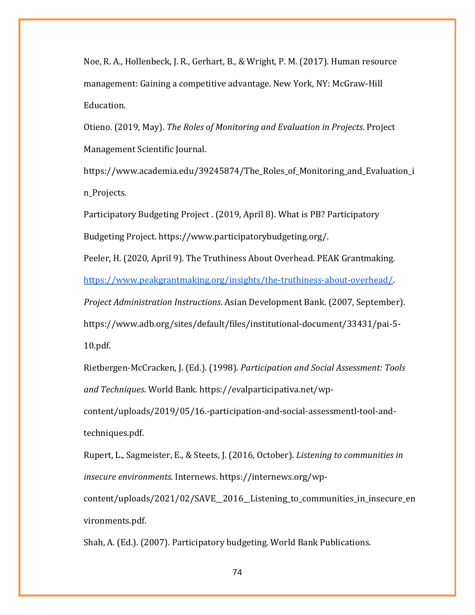Noe, R. A., Hollenbeck, J. R., Gerhart, B., & Wright, P. M. (2017). Human resource management: Gaining a competitive advantage. New York, NY: McGraw-Hill Education.

Otieno. (2019, May). *The Roles of Monitoring and Evaluation in Projects*. Project Management Scientific Journal.

https://www.academia.edu/39245874/The\_Roles\_of\_Monitoring\_and\_Evaluation\_i n\_Projects.

Participatory Budgeting Project . (2019, April 8). What is PB? Participatory Budgeting Project. https://www.participatorybudgeting.org/.

Peeler, H. (2020, April 9). The Truthiness About Overhead. PEAK Grantmaking. [https://www.peakgrantmaking.org/insights/the-truthiness-about-overhead/.](https://www.peakgrantmaking.org/insights/the-truthiness-about-overhead/)

*Project Administration Instructions*. Asian Development Bank. (2007, September). https://www.adb.org/sites/default/files/institutional-document/33431/pai-5- 10.pdf.

Rietbergen-McCracken, J. (Ed.). (1998). *Participation and Social Assessment: Tools and Techniques*. World Bank. https://evalparticipativa.net/wp-

content/uploads/2019/05/16.-participation-and-social-assessmentl-tool-andtechniques.pdf.

Rupert, L., Sagmeister, E., & Steets, J. (2016, October). *Listening to communities in insecure environments*. Internews. https://internews.org/wp-

content/uploads/2021/02/SAVE\_\_2016\_\_Listening\_to\_communities\_in\_insecure\_en vironments.pdf.

Shah, A. (Ed.). (2007). Participatory budgeting. World Bank Publications.